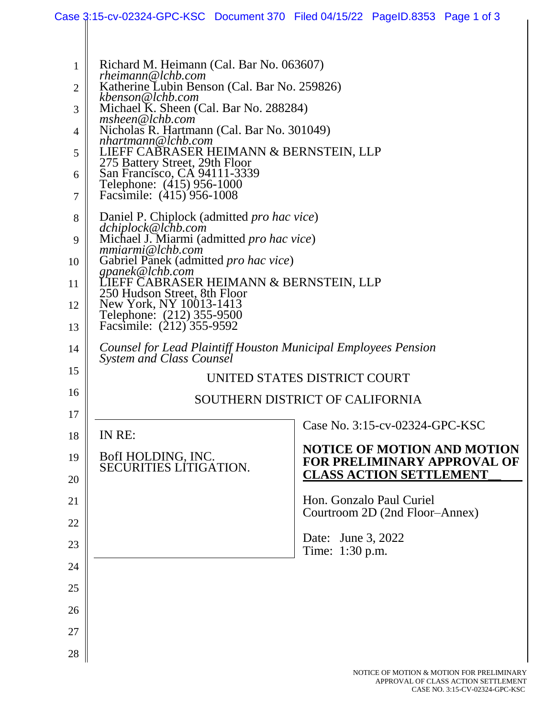|                |                                                                                             | Case 3:15-cv-02324-GPC-KSC Document 370 Filed 04/15/22 PageID.8353 Page 1 of 3 |  |  |  |  |  |  |  |  |
|----------------|---------------------------------------------------------------------------------------------|--------------------------------------------------------------------------------|--|--|--|--|--|--|--|--|
|                |                                                                                             |                                                                                |  |  |  |  |  |  |  |  |
| $\mathbf{1}$   | Richard M. Heimann (Cal. Bar No. 063607)<br>rheimann@lchb.com                               |                                                                                |  |  |  |  |  |  |  |  |
| $\overline{2}$ | Katherine Lubin Benson (Cal. Bar No. 259826)<br>kbenson@lchb.com                            |                                                                                |  |  |  |  |  |  |  |  |
| 3              | Michael K. Sheen (Cal. Bar No. 288284)<br>msheen@lchb.com                                   |                                                                                |  |  |  |  |  |  |  |  |
| 4              | Nicholas R. Hartmann (Cal. Bar No. 301049)<br>nhartmann@lchb.com                            |                                                                                |  |  |  |  |  |  |  |  |
| 5              | LIEFF CABRASER HEIMANN & BERNSTEIN, LLP<br>275 Battery Street, 29th Floor                   |                                                                                |  |  |  |  |  |  |  |  |
| 6              | San Francisco, CA 94111-3339<br>Telephone: (415) 956-1000                                   |                                                                                |  |  |  |  |  |  |  |  |
| $\tau$         | Facsimile: (415) 956-1008                                                                   |                                                                                |  |  |  |  |  |  |  |  |
| 8              | Daniel P. Chiplock (admitted <i>pro hac vice</i> )                                          |                                                                                |  |  |  |  |  |  |  |  |
| 9              | dchiplock@lchb.com<br>Michael J. Miarmi (admitted <i>pro hac vice</i> )<br>mmiarmi@lchb.com |                                                                                |  |  |  |  |  |  |  |  |
| 10             | Gabriel Panek (admitted pro hac vice)                                                       |                                                                                |  |  |  |  |  |  |  |  |
| 11             | gpanek@lchb.com<br>LIEFF CABRASER HEIMANN & BERNSTEIN, LLP                                  |                                                                                |  |  |  |  |  |  |  |  |
| 12             | 250 Hudson Street, 8th Floor<br>New York, NY 10013-1413                                     |                                                                                |  |  |  |  |  |  |  |  |
| 13             | Telephone: (212) 355-9500<br>Facsimile: (212) 355-9592                                      |                                                                                |  |  |  |  |  |  |  |  |
| 14             | Counsel for Lead Plaintiff Houston Municipal Employees Pension<br>System and Class Counsel  |                                                                                |  |  |  |  |  |  |  |  |
| 15             | UNITED STATES DISTRICT COURT                                                                |                                                                                |  |  |  |  |  |  |  |  |
| 16             |                                                                                             | SOUTHERN DISTRICT OF CALIFORNIA                                                |  |  |  |  |  |  |  |  |
| 17             |                                                                                             | Case No. 3:15-cv-02324-GPC-KSC                                                 |  |  |  |  |  |  |  |  |
| 18             | IN RE:                                                                                      | <b>NOTICE OF MOTION AND MOTION</b>                                             |  |  |  |  |  |  |  |  |
| 19             | BofI HOLDING, INC.<br>SECURITIES LÍTIGATION.                                                | <b>FOR PRELIMINARY APPROVAL OF</b>                                             |  |  |  |  |  |  |  |  |
| 20             |                                                                                             | <b>CLASS ACTION SETTLEMENT</b>                                                 |  |  |  |  |  |  |  |  |
| 21             |                                                                                             | Hon. Gonzalo Paul Curiel<br>Courtroom 2D (2nd Floor–Annex)                     |  |  |  |  |  |  |  |  |
| 22             |                                                                                             | Date: June 3, 2022                                                             |  |  |  |  |  |  |  |  |
| 23             |                                                                                             | Time: 1:30 p.m.                                                                |  |  |  |  |  |  |  |  |
| 24             |                                                                                             |                                                                                |  |  |  |  |  |  |  |  |
| 25             |                                                                                             |                                                                                |  |  |  |  |  |  |  |  |
| 26             |                                                                                             |                                                                                |  |  |  |  |  |  |  |  |
| 27             |                                                                                             |                                                                                |  |  |  |  |  |  |  |  |
| 28             |                                                                                             |                                                                                |  |  |  |  |  |  |  |  |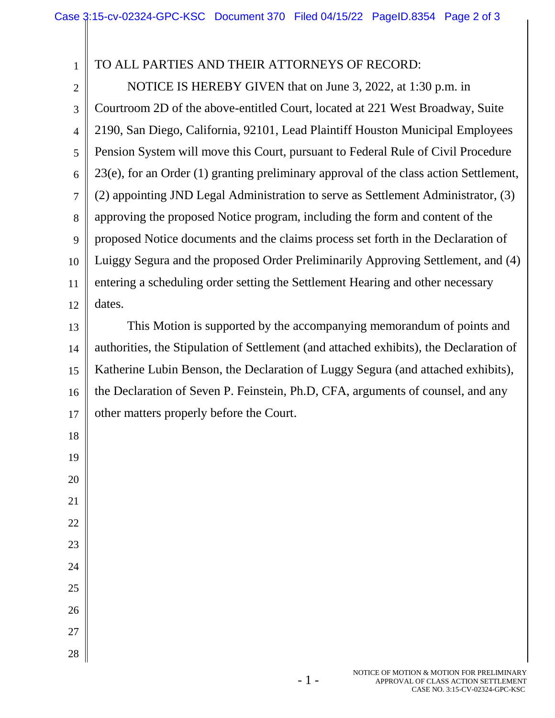| $\mathbf{1}$   | TO ALL PARTIES AND THEIR ATTORNEYS OF RECORD:                                          |
|----------------|----------------------------------------------------------------------------------------|
| $\overline{c}$ | NOTICE IS HEREBY GIVEN that on June 3, 2022, at 1:30 p.m. in                           |
| 3              | Courtroom 2D of the above-entitled Court, located at 221 West Broadway, Suite          |
| $\overline{4}$ | 2190, San Diego, California, 92101, Lead Plaintiff Houston Municipal Employees         |
| 5              | Pension System will move this Court, pursuant to Federal Rule of Civil Procedure       |
| 6              | 23(e), for an Order (1) granting preliminary approval of the class action Settlement,  |
| 7              | (2) appointing JND Legal Administration to serve as Settlement Administrator, (3)      |
| 8              | approving the proposed Notice program, including the form and content of the           |
| 9              | proposed Notice documents and the claims process set forth in the Declaration of       |
| 10             | Luiggy Segura and the proposed Order Preliminarily Approving Settlement, and (4)       |
| 11             | entering a scheduling order setting the Settlement Hearing and other necessary         |
| 12             | dates.                                                                                 |
| 13             | This Motion is supported by the accompanying memorandum of points and                  |
| 14             | authorities, the Stipulation of Settlement (and attached exhibits), the Declaration of |
| 15             | Katherine Lubin Benson, the Declaration of Luggy Segura (and attached exhibits),       |
| 16             | the Declaration of Seven P. Feinstein, Ph.D, CFA, arguments of counsel, and any        |
| 17             | other matters properly before the Court.                                               |
| 18             |                                                                                        |
| 19             |                                                                                        |
| 20             |                                                                                        |
| 21             |                                                                                        |
| 22             |                                                                                        |
| 23             |                                                                                        |
| 24             |                                                                                        |
| 25             |                                                                                        |
| 26             |                                                                                        |
| 27             |                                                                                        |
| 28             |                                                                                        |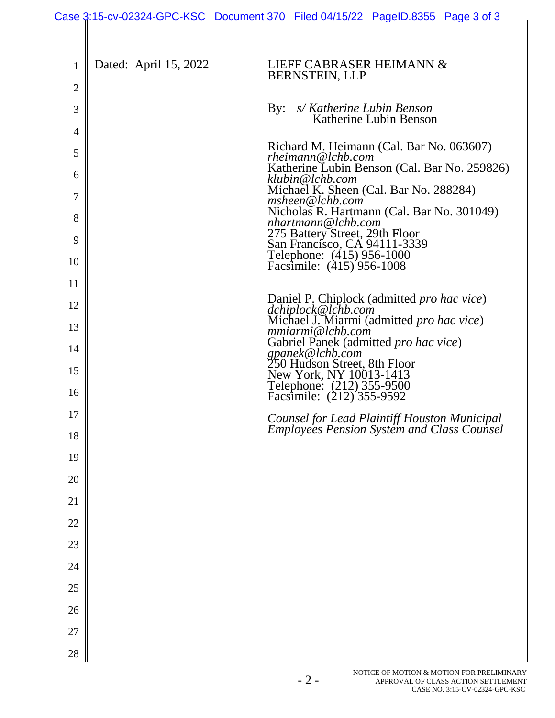| 1              | Dated: April 15, 2022 | LIEFF CABRASER HEIMANN &                                                                                                 |
|----------------|-----------------------|--------------------------------------------------------------------------------------------------------------------------|
| $\overline{2}$ |                       | <b>BERNSTEIN, LLP</b>                                                                                                    |
| 3              |                       | s/Katherine Lubin Benson<br>Katherine Lubin Benson<br>By:                                                                |
| 4              |                       |                                                                                                                          |
| 5              |                       | Richard M. Heimann (Cal. Bar No. 063607)<br>rheimann@lchb.com                                                            |
| 6              |                       | Katherine Lubin Benson (Cal. Bar No. 259826)<br>klubin@lchb.com                                                          |
| 7              |                       | Michael K. Sheen (Cal. Bar No. 288284)<br>msheen@lchb.com                                                                |
| 8              |                       | Nicholas R. Hartmann (Cal. Bar No. 301049)<br>nhartmann@lchb.com                                                         |
| 9              |                       |                                                                                                                          |
| 10             |                       | 275 Battery Street, 29th Floor<br>San Francisco, CA 94111-3339<br>Telephone: (415) 956-1000<br>Facsimile: (415) 956-1008 |
| 11             |                       |                                                                                                                          |
| 12             |                       | Daniel P. Chiplock (admitted <i>pro hac vice</i> )<br>dchiplock@lchb.com                                                 |
| 13             |                       | Michael J. Miarmi (admitted pro hac vice)<br>mmiarmi@lchb.com                                                            |
| 14             |                       | Gabriel Panek (admitted pro hac vice)<br>gpanek@lchb.com                                                                 |
| 15             |                       | 250 Hudson Street, 8th Floor<br>New York, NY 10013-1413<br>Telephone: (212) 355-9500<br>Facsimile: (212) 355-9592        |
| 16             |                       |                                                                                                                          |
| 17             |                       | Counsel for Lead Plaintiff Houston Municipal<br><b>Employees Pension System and Class Counsel</b>                        |
| 18             |                       |                                                                                                                          |
| 19             |                       |                                                                                                                          |
| 20             |                       |                                                                                                                          |
| 21             |                       |                                                                                                                          |
| 22             |                       |                                                                                                                          |
| 23             |                       |                                                                                                                          |
| 24             |                       |                                                                                                                          |
| 25             |                       |                                                                                                                          |
| 26             |                       |                                                                                                                          |
| 27             |                       |                                                                                                                          |
| 28             |                       |                                                                                                                          |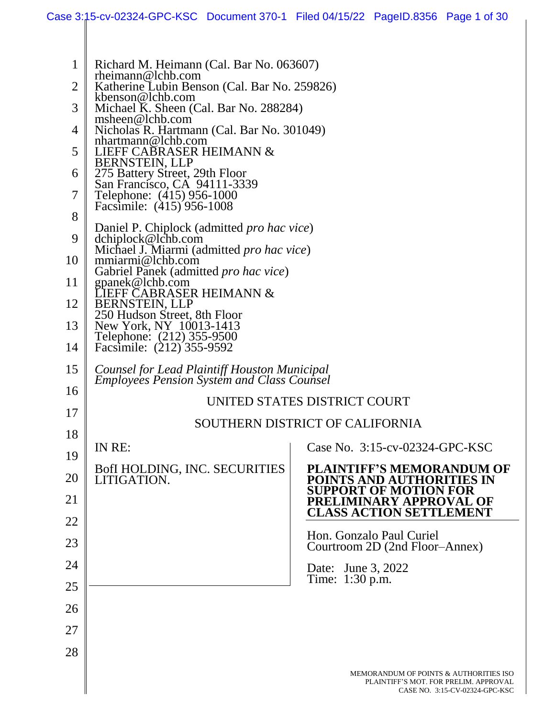| 1              | Richard M. Heimann (Cal. Bar No. 063607)<br>$r$ heimann@lchb.com                                  |                                                                                                                   |  |  |  |  |  |  |
|----------------|---------------------------------------------------------------------------------------------------|-------------------------------------------------------------------------------------------------------------------|--|--|--|--|--|--|
| $\overline{2}$ | Katherine Lubin Benson (Cal. Bar No. 259826)                                                      |                                                                                                                   |  |  |  |  |  |  |
| 3              | kbenson@lchb.com<br>Michael K. Sheen (Cal. Bar No. 288284)                                        |                                                                                                                   |  |  |  |  |  |  |
| 4              | msheen@lchb.com<br>Nicholas R. Hartmann (Cal. Bar No. 301049)                                     |                                                                                                                   |  |  |  |  |  |  |
|                | nhartmann@lchb.com                                                                                |                                                                                                                   |  |  |  |  |  |  |
| 5              | LIEFF CABRASER HEIMANN &<br>BERNSTEIN, LLP                                                        |                                                                                                                   |  |  |  |  |  |  |
| 6              | 275 Battery Street, 29th Floor                                                                    |                                                                                                                   |  |  |  |  |  |  |
| 7              | San Francisco, CA 94111-3339<br>Telephone: (415) 956-1000                                         |                                                                                                                   |  |  |  |  |  |  |
| 8              | Facsimile: (415) 956-1008                                                                         |                                                                                                                   |  |  |  |  |  |  |
|                | Daniel P. Chiplock (admitted pro hac vice)                                                        |                                                                                                                   |  |  |  |  |  |  |
| 9              | dchiplock@lchb.com<br>Michael J. Miarmi (admitted <i>pro hac vice</i> )                           |                                                                                                                   |  |  |  |  |  |  |
| 10             | mmiarmi@lchb.com<br>Gabriel Panek (admitted <i>pro hac vice</i> )                                 |                                                                                                                   |  |  |  |  |  |  |
| 11             | gpanek@lchb.com<br>LIEFF CABRASER HEIMANN &                                                       |                                                                                                                   |  |  |  |  |  |  |
| 12             | <b>BERNSTEIN, LLP</b>                                                                             |                                                                                                                   |  |  |  |  |  |  |
| 13             | 250 Hudson Street, 8th Floor<br>New York, NY 10013-1413                                           |                                                                                                                   |  |  |  |  |  |  |
| 14             | Telephone: (212) 355-9500<br>Facsimile: (212) 355-9592                                            |                                                                                                                   |  |  |  |  |  |  |
|                |                                                                                                   |                                                                                                                   |  |  |  |  |  |  |
| 15<br>16       | Counsel for Lead Plaintiff Houston Municipal<br><b>Employees Pension System and Class Counsel</b> |                                                                                                                   |  |  |  |  |  |  |
| 17             | UNITED STATES DISTRICT COURT                                                                      |                                                                                                                   |  |  |  |  |  |  |
|                |                                                                                                   | SOUTHERN DISTRICT OF CALIFORNIA                                                                                   |  |  |  |  |  |  |
| 18             | IN RE:                                                                                            | Case No. 3:15-cv-02324-GPC-KSC                                                                                    |  |  |  |  |  |  |
| 19             | BofI HOLDING, INC. SECURITIES                                                                     | <b>PLAINTIFF'S MEMORANDUM OF</b>                                                                                  |  |  |  |  |  |  |
| 20             | LITIGATION.                                                                                       | POINTS AND AUTHORITIES IN<br><b>SUPPORT OF MOTION FOR</b>                                                         |  |  |  |  |  |  |
| 21             |                                                                                                   | PRELIMINARY APPROVAL OF                                                                                           |  |  |  |  |  |  |
| 22             |                                                                                                   | <b>CLASS ACTION SETTLEMENT</b>                                                                                    |  |  |  |  |  |  |
| 23             |                                                                                                   | Hon. Gonzalo Paul Curiel<br>Courtroom 2D (2nd Floor–Annex)                                                        |  |  |  |  |  |  |
| 24             |                                                                                                   | Date: June 3, 2022                                                                                                |  |  |  |  |  |  |
| 25             |                                                                                                   | Time: 1:30 p.m.                                                                                                   |  |  |  |  |  |  |
| 26             |                                                                                                   |                                                                                                                   |  |  |  |  |  |  |
| 27             |                                                                                                   |                                                                                                                   |  |  |  |  |  |  |
|                |                                                                                                   |                                                                                                                   |  |  |  |  |  |  |
| 28             |                                                                                                   |                                                                                                                   |  |  |  |  |  |  |
|                |                                                                                                   | MEMORANDUM OF POINTS & AUTHORITIES ISO<br>PLAINTIFF'S MOT. FOR PRELIM. APPROVAL<br>CASE NO. 3:15-CV-02324-GPC-KSC |  |  |  |  |  |  |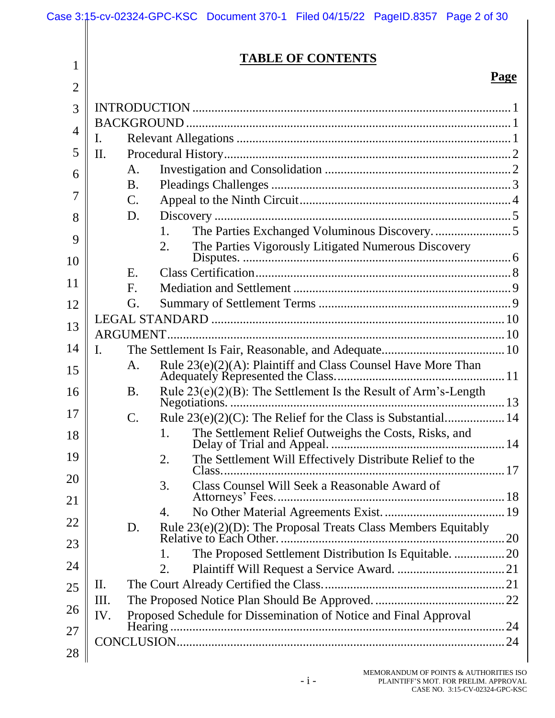|                | Case 3:15-cv-02324-GPC-KSC Document 370-1 Filed 04/15/22 PageID.8357 Page 2 of 30 |  |  |  |  |  |
|----------------|-----------------------------------------------------------------------------------|--|--|--|--|--|
| 1              | <b>TABLE OF CONTENTS</b>                                                          |  |  |  |  |  |
| $\overline{2}$ | <b>Page</b>                                                                       |  |  |  |  |  |
| 3              |                                                                                   |  |  |  |  |  |
| 4              |                                                                                   |  |  |  |  |  |
|                | Ι.                                                                                |  |  |  |  |  |
| 5              | II.                                                                               |  |  |  |  |  |
| 6              | А.<br><b>B.</b>                                                                   |  |  |  |  |  |
| $\overline{7}$ | $\mathbf{C}$ .                                                                    |  |  |  |  |  |
| 8              | D.                                                                                |  |  |  |  |  |
|                | 1.                                                                                |  |  |  |  |  |
| 9              | The Parties Vigorously Litigated Numerous Discovery<br>2.                         |  |  |  |  |  |
| 10             | E.                                                                                |  |  |  |  |  |
| 11             | $F_{\cdot}$                                                                       |  |  |  |  |  |
| 12             | G.                                                                                |  |  |  |  |  |
| 13             |                                                                                   |  |  |  |  |  |
|                | ARGUMENT.                                                                         |  |  |  |  |  |
| 14             | I.                                                                                |  |  |  |  |  |
| 15             | Rule 23(e)(2)(A): Plaintiff and Class Counsel Have More Than<br>A.                |  |  |  |  |  |
| 16             | Rule $23(e)(2)(B)$ : The Settlement Is the Result of Arm's-Length<br><b>B.</b>    |  |  |  |  |  |
| 17             |                                                                                   |  |  |  |  |  |
| 18             | The Settlement Relief Outweighs the Costs, Risks, and<br>1.                       |  |  |  |  |  |
| 19<br>20       | The Settlement Will Effectively Distribute Relief to the<br>2.                    |  |  |  |  |  |
| 21             | Class Counsel Will Seek a Reasonable Award of<br>3.                               |  |  |  |  |  |
|                | 4.                                                                                |  |  |  |  |  |
| 22<br>23       | Rule 23(e)(2)(D): The Proposal Treats Class Members Equitably<br>D.               |  |  |  |  |  |
|                | The Proposed Settlement Distribution Is Equitable.  20<br>1.                      |  |  |  |  |  |
| 24             | 2.                                                                                |  |  |  |  |  |
| 25             | П.<br>III.                                                                        |  |  |  |  |  |
| 26             | Proposed Schedule for Dissemination of Notice and Final Approval<br>IV.           |  |  |  |  |  |
| 27             |                                                                                   |  |  |  |  |  |
|                |                                                                                   |  |  |  |  |  |
| 28             |                                                                                   |  |  |  |  |  |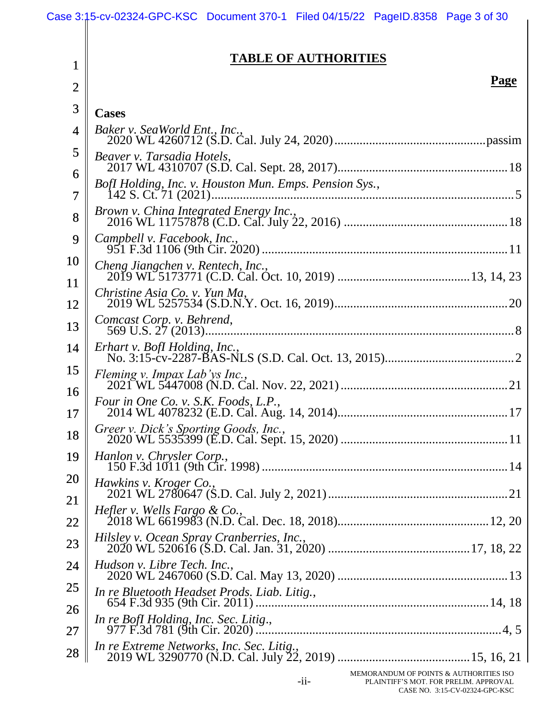1

#### **TABLE OF AUTHORITIES**

#### **Page**

| $\overline{2}$ |                                                        | <u>і аgс</u> |
|----------------|--------------------------------------------------------|--------------|
| 3              | <b>Cases</b>                                           |              |
| 4              | Baker v. SeaWorld Ent., Inc.,                          |              |
| 5<br>6         | Beaver v. Tarsadia Hotels,                             |              |
| $\overline{7}$ | BofI Holding, Inc. v. Houston Mun. Emps. Pension Sys., |              |
| 8              | Brown v. China Integrated Energy Inc.,                 |              |
| 9              | Campbell v. Facebook, Inc.,                            |              |
| 10             | Cheng Jiangchen v. Rentech, Inc.,                      |              |
| 11<br>12       | Christine Asia Co. v. Yun Ma,                          |              |
| 13             | Comcast Corp. v. Behrend,                              |              |
| 14             | Erhart v. BofI Holding, Inc.,                          |              |
| 15             | Fleming v. Impax Lab'ys Inc.,                          |              |
| 16<br>17       | Four in One Co. v. S.K. Foods, L.P.,                   |              |
| 18             |                                                        |              |
| 19             | Hanlon v. Chrysler Corp.,                              |              |
| 20<br>21       | Hawkins v. Kroger Co.,                                 |              |
| 22             | <i>Hefler v. Wells Fargo &amp; Co.,</i>                |              |
| 23             | Hilsley v. Ocean Spray Cranberries, Inc.,              |              |
| 24             | Hudson v. Libre Tech. Inc.,                            |              |
| 25             | In re Bluetooth Headset Prods. Liab. Litig.,           |              |
| 26<br>27       | In re BofI Holding, Inc. Sec. Litig.,                  |              |
| 28             |                                                        |              |
|                |                                                        |              |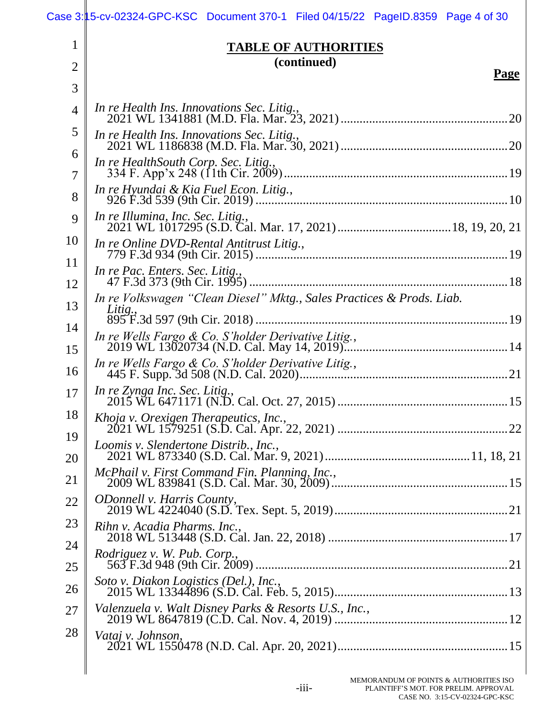|                | Case 3:15-cv-02324-GPC-KSC Document 370-1 Filed 04/15/22 PageID.8359 Page 4 of 30 |
|----------------|-----------------------------------------------------------------------------------|
| 1              | <b>TABLE OF AUTHORITIES</b>                                                       |
| $\overline{2}$ | (continued)<br>Page                                                               |
| 3              |                                                                                   |
| $\overline{4}$ | In re Health Ins. Innovations Sec. Litig.,                                        |
| 5              | In re Health Ins. Innovations Sec. Litig.,                                        |
| 6              | In re HealthSouth Corp. Sec. Litig.,                                              |
| 7              | In re Hyundai & Kia Fuel Econ. Litig.,                                            |
| 8              | In re Illumina, Inc. Sec. Litig.,                                                 |
| 9              |                                                                                   |
| 10<br>11       | In re Online DVD-Rental Antitrust Litig.,                                         |
| 12             | In re Pac. Enters. Sec. Litig.,                                                   |
| 13             | In re Volkswagen "Clean Diesel" Mktg., Sales Practices & Prods. Liab.<br>Litig.,  |
| 14             |                                                                                   |
| 15             | In re Wells Fargo & Co. S'holder Derivative Litig.,                               |
| 16             | In re Wells Fargo & Co. S'holder Derivative Litig.,                               |
| 17             | In re Zynga Inc. Sec. Litig.,                                                     |
| 18             |                                                                                   |
| 19<br>20       | Loomis v. Slendertone Distrib., Inc.,                                             |
| 21             | McPhail v. First Command Fin. Planning, Inc.,                                     |
| 22             | <i><b>ODonnell v. Harris County,</b></i>                                          |
| 23             | Rihn v. Acadia Pharms. Inc.,                                                      |
| 24             | <i>Rodriguez v. W. Pub. Corp.,</i>                                                |
| 25             |                                                                                   |
| 26             | Soto v. Diakon Logistics (Del.), Inc.,                                            |
| 27             | Valenzuela v. Walt Disney Parks & Resorts U.S., Inc.,                             |
| 28             | Vataj v. Johnson.                                                                 |
|                |                                                                                   |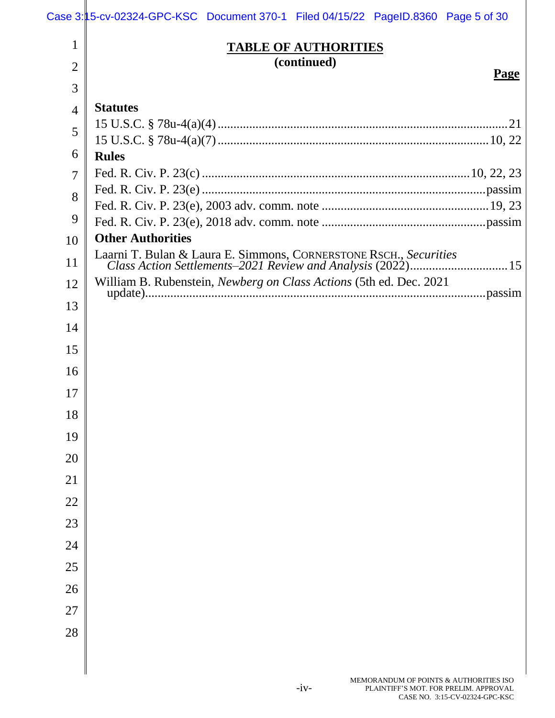# Case 3:15-cv-02324-GPC-KSC Document 370-1 Filed 04/15/22 PageID.8360 Page 5 of 30

| 1              | <b>TABLE OF AUTHORITIES</b>                                        |
|----------------|--------------------------------------------------------------------|
| $\overline{2}$ | (continued)                                                        |
| 3              | <b>Page</b>                                                        |
| 4              | <b>Statutes</b>                                                    |
| 5              |                                                                    |
| 6              | <b>Rules</b>                                                       |
| $\tau$         |                                                                    |
| 8              |                                                                    |
| 9              |                                                                    |
| 10             | <b>Other Authorities</b>                                           |
| 11             |                                                                    |
| 12             | William B. Rubenstein, Newberg on Class Actions (5th ed. Dec. 2021 |
| 13             |                                                                    |
| 14             |                                                                    |
| 15             |                                                                    |
| 16             |                                                                    |
| 17             |                                                                    |
| 18             |                                                                    |
| 19             |                                                                    |
| 20             |                                                                    |
| 21             |                                                                    |
| $22\,$         |                                                                    |
| 23             |                                                                    |
| 24             |                                                                    |
| 25             |                                                                    |
| 26             |                                                                    |
| $27\,$         |                                                                    |
|                |                                                                    |
| 28             |                                                                    |
|                |                                                                    |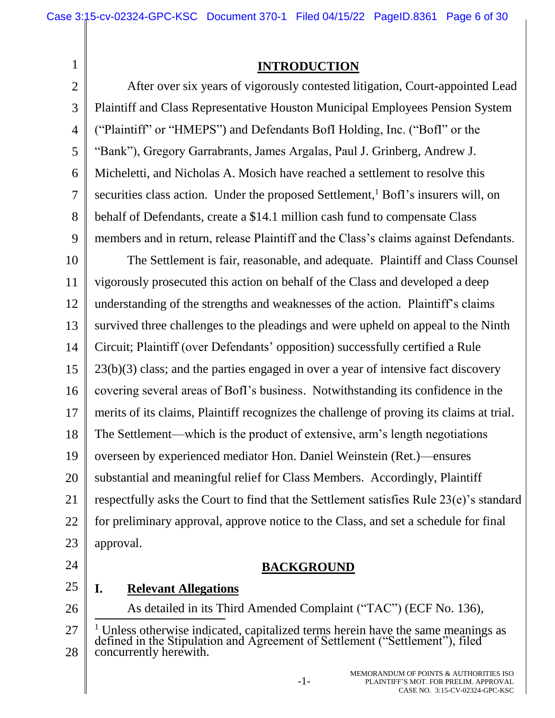**INTRODUCTION**

2 3 4 5 6 8 9 After over six years of vigorously contested litigation, Court-appointed Lead Plaintiff and Class Representative Houston Municipal Employees Pension System ("Plaintiff" or "HMEPS") and Defendants BofI Holding, Inc. ("BofI" or the "Bank"), Gregory Garrabrants, James Argalas, Paul J. Grinberg, Andrew J. Micheletti, and Nicholas A. Mosich have reached a settlement to resolve this securities class action. Under the proposed Settlement,<sup>1</sup> BofI's insurers will, on behalf of Defendants, create a \$14.1 million cash fund to compensate Class members and in return, release Plaintiff and the Class's claims against Defendants.

10 11 12 13 14 15 16 17 18 19 20 21 22 23 The Settlement is fair, reasonable, and adequate. Plaintiff and Class Counsel vigorously prosecuted this action on behalf of the Class and developed a deep understanding of the strengths and weaknesses of the action. Plaintiff's claims survived three challenges to the pleadings and were upheld on appeal to the Ninth Circuit; Plaintiff (over Defendants' opposition) successfully certified a Rule 23(b)(3) class; and the parties engaged in over a year of intensive fact discovery covering several areas of BofI's business. Notwithstanding its confidence in the merits of its claims, Plaintiff recognizes the challenge of proving its claims at trial. The Settlement—which is the product of extensive, arm's length negotiations overseen by experienced mediator Hon. Daniel Weinstein (Ret.)—ensures substantial and meaningful relief for Class Members. Accordingly, Plaintiff respectfully asks the Court to find that the Settlement satisfies Rule 23(e)'s standard for preliminary approval, approve notice to the Class, and set a schedule for final approval.

24

1

7

## **BACKGROUND**

25 26 **I. Relevant Allegations**

As detailed in its Third Amended Complaint ("TAC") (ECF No. 136),

<sup>27</sup> 28  $\overline{a}$ <sup>1</sup> Unless otherwise indicated, capitalized terms herein have the same meanings as defined in the Stipulation and Agreement of Settlement ("Settlement"), filed concurrently herewith.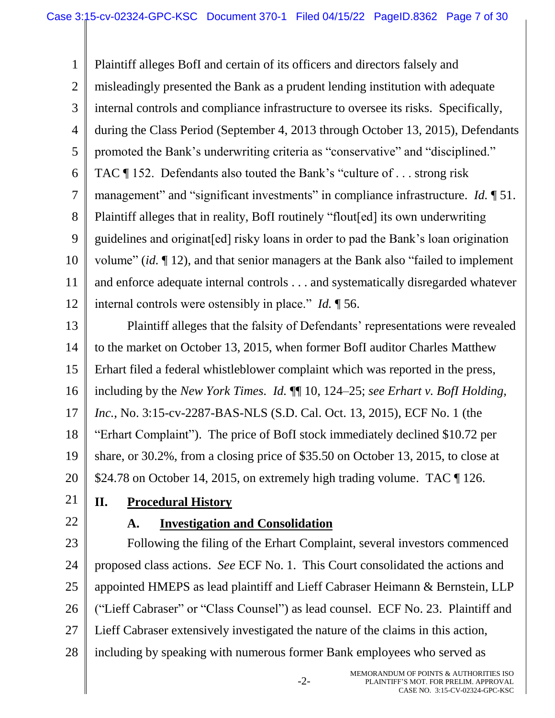1 2 3 4 5 6 7 8 9 10 11 12 Plaintiff alleges BofI and certain of its officers and directors falsely and misleadingly presented the Bank as a prudent lending institution with adequate internal controls and compliance infrastructure to oversee its risks. Specifically, during the Class Period (September 4, 2013 through October 13, 2015), Defendants promoted the Bank's underwriting criteria as "conservative" and "disciplined." TAC ¶ 152. Defendants also touted the Bank's "culture of . . . strong risk management" and "significant investments" in compliance infrastructure. *Id.* 151. Plaintiff alleges that in reality, BofI routinely "flout[ed] its own underwriting guidelines and originat[ed] risky loans in order to pad the Bank's loan origination volume" (*id.* ¶ 12), and that senior managers at the Bank also "failed to implement and enforce adequate internal controls . . . and systematically disregarded whatever internal controls were ostensibly in place." *Id.* ¶ 56.

13 14 15 16 17 18 19 20 Plaintiff alleges that the falsity of Defendants' representations were revealed to the market on October 13, 2015, when former BofI auditor Charles Matthew Erhart filed a federal whistleblower complaint which was reported in the press, including by the *New York Times. Id.* ¶¶ 10, 124–25; *see Erhart v. BofI Holding, Inc.*, No. 3:15-cv-2287-BAS-NLS (S.D. Cal. Oct. 13, 2015), ECF No. 1 (the "Erhart Complaint"). The price of BofI stock immediately declined \$10.72 per share, or 30.2%, from a closing price of \$35.50 on October 13, 2015, to close at \$24.78 on October 14, 2015, on extremely high trading volume. TAC [126.

- 21
	-
- 22

## **II. Procedural History A. Investigation and Consolidation**

23 24 25 26 27 28 Following the filing of the Erhart Complaint, several investors commenced proposed class actions. *See* ECF No. 1. This Court consolidated the actions and appointed HMEPS as lead plaintiff and Lieff Cabraser Heimann & Bernstein, LLP ("Lieff Cabraser" or "Class Counsel") as lead counsel. ECF No. 23. Plaintiff and Lieff Cabraser extensively investigated the nature of the claims in this action, including by speaking with numerous former Bank employees who served as

-2-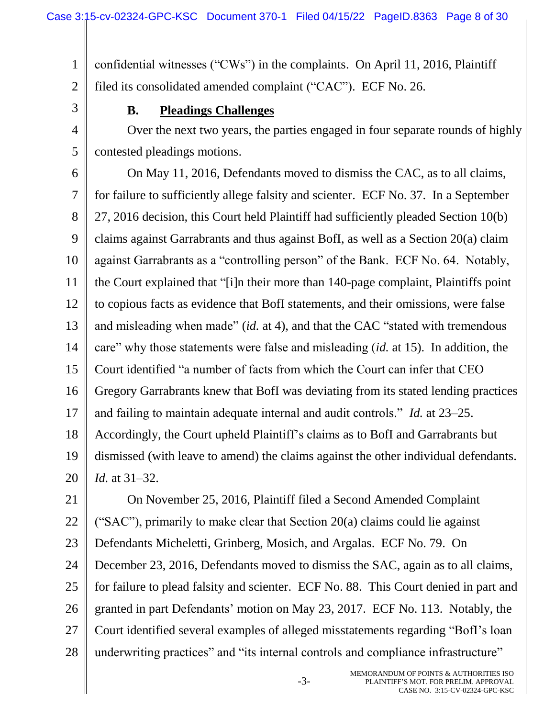1 2 confidential witnesses ("CWs") in the complaints. On April 11, 2016, Plaintiff filed its consolidated amended complaint ("CAC"). ECF No. 26.

3

4

5

## **B. Pleadings Challenges**

Over the next two years, the parties engaged in four separate rounds of highly contested pleadings motions.

6 7 8 9 10 11 12 13 14 15 16 17 18 19 20 On May 11, 2016, Defendants moved to dismiss the CAC, as to all claims, for failure to sufficiently allege falsity and scienter. ECF No. 37. In a September 27, 2016 decision, this Court held Plaintiff had sufficiently pleaded Section 10(b) claims against Garrabrants and thus against BofI, as well as a Section 20(a) claim against Garrabrants as a "controlling person" of the Bank. ECF No. 64. Notably, the Court explained that "[i]n their more than 140-page complaint, Plaintiffs point to copious facts as evidence that BofI statements, and their omissions, were false and misleading when made" (*id.* at 4), and that the CAC "stated with tremendous care" why those statements were false and misleading (*id.* at 15). In addition, the Court identified "a number of facts from which the Court can infer that CEO Gregory Garrabrants knew that BofI was deviating from its stated lending practices and failing to maintain adequate internal and audit controls." *Id.* at 23–25. Accordingly, the Court upheld Plaintiff's claims as to BofI and Garrabrants but dismissed (with leave to amend) the claims against the other individual defendants. *Id.* at 31–32.

21 22 23 24 25 26 27 28 On November 25, 2016, Plaintiff filed a Second Amended Complaint ("SAC"), primarily to make clear that Section 20(a) claims could lie against Defendants Micheletti, Grinberg, Mosich, and Argalas. ECF No. 79. On December 23, 2016, Defendants moved to dismiss the SAC, again as to all claims, for failure to plead falsity and scienter. ECF No. 88. This Court denied in part and granted in part Defendants' motion on May 23, 2017. ECF No. 113. Notably, the Court identified several examples of alleged misstatements regarding "BofI's loan underwriting practices" and "its internal controls and compliance infrastructure"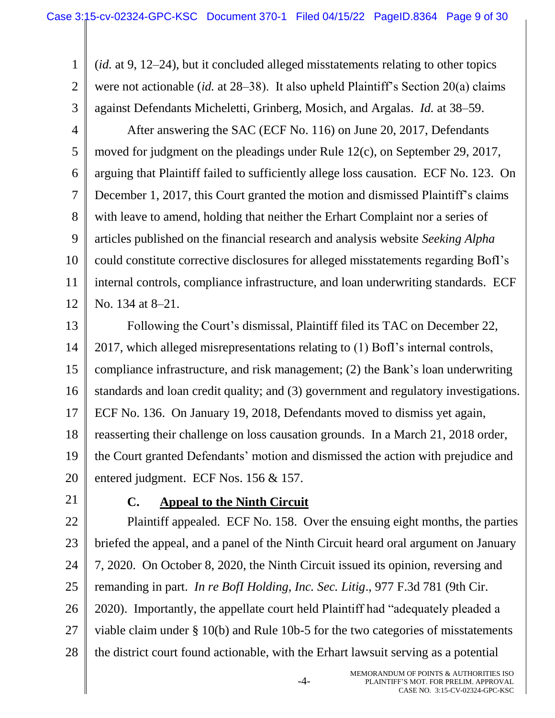1 2 3 4 5 6 7 8 9 10 11 12 (*id.* at 9, 12–24), but it concluded alleged misstatements relating to other topics were not actionable (*id.* at 28–38). It also upheld Plaintiff's Section 20(a) claims against Defendants Micheletti, Grinberg, Mosich, and Argalas. *Id.* at 38–59. After answering the SAC (ECF No. 116) on June 20, 2017, Defendants moved for judgment on the pleadings under Rule 12(c), on September 29, 2017, arguing that Plaintiff failed to sufficiently allege loss causation. ECF No. 123. On December 1, 2017, this Court granted the motion and dismissed Plaintiff's claims with leave to amend, holding that neither the Erhart Complaint nor a series of articles published on the financial research and analysis website *Seeking Alpha* could constitute corrective disclosures for alleged misstatements regarding BofI's internal controls, compliance infrastructure, and loan underwriting standards. ECF No. 134 at 8–21.

13 14 15 16 17 18 19 20 Following the Court's dismissal, Plaintiff filed its TAC on December 22, 2017, which alleged misrepresentations relating to (1) BofI's internal controls, compliance infrastructure, and risk management; (2) the Bank's loan underwriting standards and loan credit quality; and (3) government and regulatory investigations. ECF No. 136. On January 19, 2018, Defendants moved to dismiss yet again, reasserting their challenge on loss causation grounds. In a March 21, 2018 order, the Court granted Defendants' motion and dismissed the action with prejudice and entered judgment. ECF Nos. 156 & 157.

21

## **C. Appeal to the Ninth Circuit**

22 23 24 25 26 27 28 Plaintiff appealed. ECF No. 158. Over the ensuing eight months, the parties briefed the appeal, and a panel of the Ninth Circuit heard oral argument on January 7, 2020. On October 8, 2020, the Ninth Circuit issued its opinion, reversing and remanding in part. *In re BofI Holding, Inc. Sec. Litig*., 977 F.3d 781 (9th Cir. 2020). Importantly, the appellate court held Plaintiff had "adequately pleaded a viable claim under § 10(b) and Rule 10b-5 for the two categories of misstatements the district court found actionable, with the Erhart lawsuit serving as a potential

-4-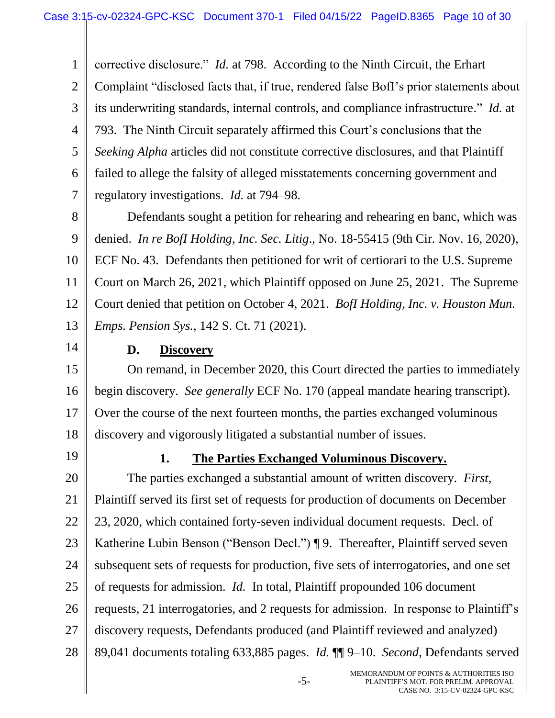1 2 3 4 5 6 corrective disclosure." *Id.* at 798. According to the Ninth Circuit, the Erhart Complaint "disclosed facts that, if true, rendered false BofI's prior statements about its underwriting standards, internal controls, and compliance infrastructure." *Id.* at 793. The Ninth Circuit separately affirmed this Court's conclusions that the *Seeking Alpha* articles did not constitute corrective disclosures, and that Plaintiff failed to allege the falsity of alleged misstatements concerning government and regulatory investigations. *Id.* at 794–98.

8 9 10 11 12 13 Defendants sought a petition for rehearing and rehearing en banc, which was denied. *In re BofI Holding, Inc. Sec. Litig*., No. 18-55415 (9th Cir. Nov. 16, 2020), ECF No. 43. Defendants then petitioned for writ of certiorari to the U.S. Supreme Court on March 26, 2021, which Plaintiff opposed on June 25, 2021. The Supreme Court denied that petition on October 4, 2021. *BofI Holding, Inc. v. Houston Mun. Emps. Pension Sys.*, 142 S. Ct. 71 (2021).

14

7

## **D. Discovery**

15 16 17 18 On remand, in December 2020, this Court directed the parties to immediately begin discovery. *See generally* ECF No. 170 (appeal mandate hearing transcript). Over the course of the next fourteen months, the parties exchanged voluminous discovery and vigorously litigated a substantial number of issues.

19

## **1. The Parties Exchanged Voluminous Discovery.**

20 21 22 23 24 25 26 27 28 The parties exchanged a substantial amount of written discovery. *First*, Plaintiff served its first set of requests for production of documents on December 23, 2020, which contained forty-seven individual document requests. Decl. of Katherine Lubin Benson ("Benson Decl.") ¶ 9. Thereafter, Plaintiff served seven subsequent sets of requests for production, five sets of interrogatories, and one set of requests for admission. *Id.* In total, Plaintiff propounded 106 document requests, 21 interrogatories, and 2 requests for admission. In response to Plaintiff's discovery requests, Defendants produced (and Plaintiff reviewed and analyzed) 89,041 documents totaling 633,885 pages. *Id.* ¶¶ 9–10. *Second*, Defendants served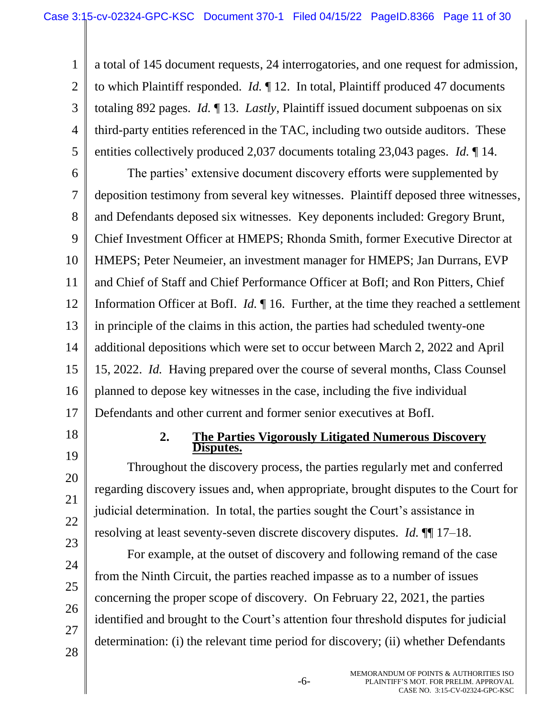1 2 3 4 5 a total of 145 document requests, 24 interrogatories, and one request for admission, to which Plaintiff responded. *Id.* ¶ 12. In total, Plaintiff produced 47 documents totaling 892 pages. *Id.* ¶ 13. *Lastly*, Plaintiff issued document subpoenas on six third-party entities referenced in the TAC, including two outside auditors. These entities collectively produced 2,037 documents totaling 23,043 pages. *Id.* ¶ 14.

6 7 8 9 10 11 12 13 14 15 16 17 The parties' extensive document discovery efforts were supplemented by deposition testimony from several key witnesses. Plaintiff deposed three witnesses, and Defendants deposed six witnesses. Key deponents included: Gregory Brunt, Chief Investment Officer at HMEPS; Rhonda Smith, former Executive Director at HMEPS; Peter Neumeier, an investment manager for HMEPS; Jan Durrans, EVP and Chief of Staff and Chief Performance Officer at BofI; and Ron Pitters, Chief Information Officer at BofI. *Id.* ¶ 16. Further, at the time they reached a settlement in principle of the claims in this action, the parties had scheduled twenty-one additional depositions which were set to occur between March 2, 2022 and April 15, 2022. *Id.* Having prepared over the course of several months, Class Counsel planned to depose key witnesses in the case, including the five individual Defendants and other current and former senior executives at BofI.

- 18
- 19

20

21

22

23

24

25

26

27

28

#### **2. The Parties Vigorously Litigated Numerous Discovery Disputes.**

Throughout the discovery process, the parties regularly met and conferred regarding discovery issues and, when appropriate, brought disputes to the Court for judicial determination. In total, the parties sought the Court's assistance in resolving at least seventy-seven discrete discovery disputes. *Id.* ¶¶ 17–18.

For example, at the outset of discovery and following remand of the case from the Ninth Circuit, the parties reached impasse as to a number of issues concerning the proper scope of discovery. On February 22, 2021, the parties identified and brought to the Court's attention four threshold disputes for judicial determination: (i) the relevant time period for discovery; (ii) whether Defendants

-6-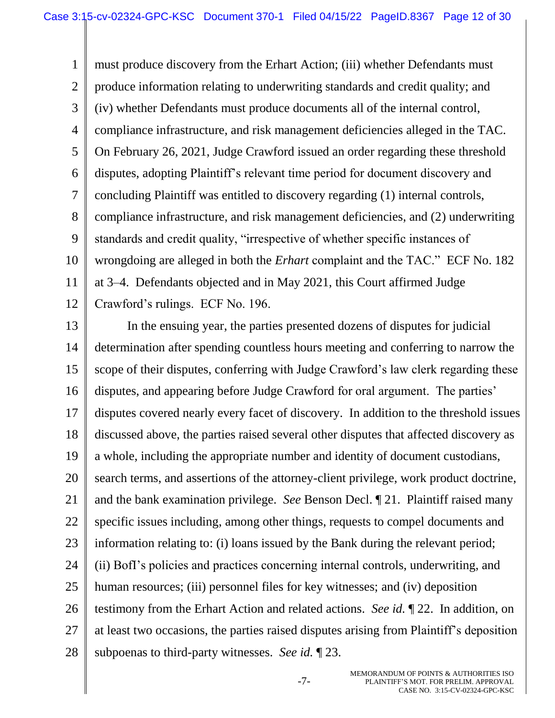1 2 3 4 5 6 7 8 9 10 11 12 must produce discovery from the Erhart Action; (iii) whether Defendants must produce information relating to underwriting standards and credit quality; and (iv) whether Defendants must produce documents all of the internal control, compliance infrastructure, and risk management deficiencies alleged in the TAC. On February 26, 2021, Judge Crawford issued an order regarding these threshold disputes, adopting Plaintiff's relevant time period for document discovery and concluding Plaintiff was entitled to discovery regarding (1) internal controls, compliance infrastructure, and risk management deficiencies, and (2) underwriting standards and credit quality, "irrespective of whether specific instances of wrongdoing are alleged in both the *Erhart* complaint and the TAC." ECF No. 182 at 3–4. Defendants objected and in May 2021, this Court affirmed Judge Crawford's rulings. ECF No. 196.

13 14 15 16 17 18 19 20 21 22 23 24 25 26 27 28 In the ensuing year, the parties presented dozens of disputes for judicial determination after spending countless hours meeting and conferring to narrow the scope of their disputes, conferring with Judge Crawford's law clerk regarding these disputes, and appearing before Judge Crawford for oral argument. The parties' disputes covered nearly every facet of discovery. In addition to the threshold issues discussed above, the parties raised several other disputes that affected discovery as a whole, including the appropriate number and identity of document custodians, search terms, and assertions of the attorney-client privilege, work product doctrine, and the bank examination privilege. *See* Benson Decl. ¶ 21. Plaintiff raised many specific issues including, among other things, requests to compel documents and information relating to: (i) loans issued by the Bank during the relevant period; (ii) BofI's policies and practices concerning internal controls, underwriting, and human resources; (iii) personnel files for key witnesses; and (iv) deposition testimony from the Erhart Action and related actions. *See id.* ¶ 22. In addition, on at least two occasions, the parties raised disputes arising from Plaintiff's deposition subpoenas to third-party witnesses. *See id.* ¶ 23.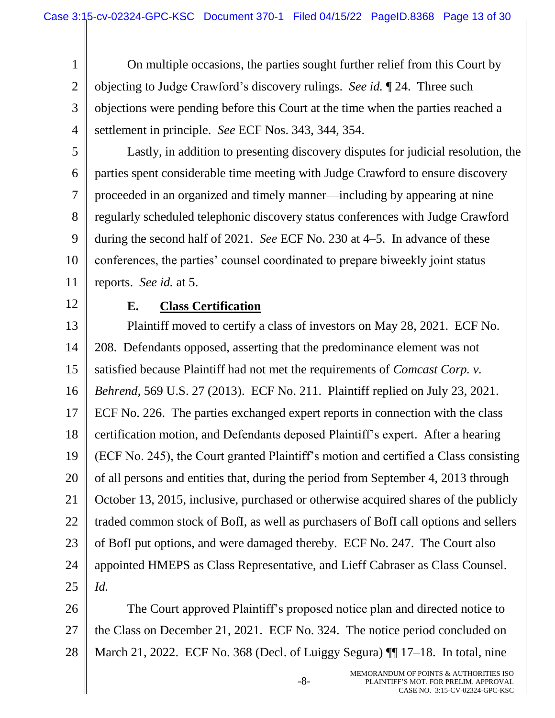1 2 3 4 On multiple occasions, the parties sought further relief from this Court by objecting to Judge Crawford's discovery rulings. *See id.* ¶ 24. Three such objections were pending before this Court at the time when the parties reached a settlement in principle. *See* ECF Nos. 343, 344, 354.

5

6 7 8 9 10 Lastly, in addition to presenting discovery disputes for judicial resolution, the parties spent considerable time meeting with Judge Crawford to ensure discovery proceeded in an organized and timely manner—including by appearing at nine regularly scheduled telephonic discovery status conferences with Judge Crawford during the second half of 2021. *See* ECF No. 230 at 4–5. In advance of these conferences, the parties' counsel coordinated to prepare biweekly joint status reports. *See id.* at 5.

12

11

### **E. Class Certification**

13 14 15 16 17 18 19 20 21 22 23 24 25 Plaintiff moved to certify a class of investors on May 28, 2021. ECF No. 208. Defendants opposed, asserting that the predominance element was not satisfied because Plaintiff had not met the requirements of *Comcast Corp. v. Behrend*, 569 U.S. 27 (2013). ECF No. 211. Plaintiff replied on July 23, 2021. ECF No. 226. The parties exchanged expert reports in connection with the class certification motion, and Defendants deposed Plaintiff's expert. After a hearing (ECF No. 245), the Court granted Plaintiff's motion and certified a Class consisting of all persons and entities that, during the period from September 4, 2013 through October 13, 2015, inclusive, purchased or otherwise acquired shares of the publicly traded common stock of BofI, as well as purchasers of BofI call options and sellers of BofI put options, and were damaged thereby. ECF No. 247. The Court also appointed HMEPS as Class Representative, and Lieff Cabraser as Class Counsel. *Id.*

26 27 28 The Court approved Plaintiff's proposed notice plan and directed notice to the Class on December 21, 2021. ECF No. 324. The notice period concluded on March 21, 2022. ECF No. 368 (Decl. of Luiggy Segura)  $\P$  17–18. In total, nine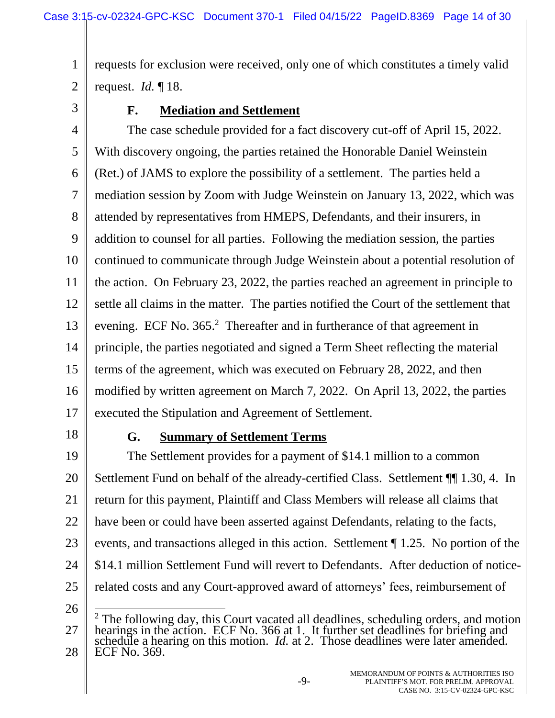1 2 requests for exclusion were received, only one of which constitutes a timely valid request. *Id.* ¶ 18.

3

## **F. Mediation and Settlement**

4 5 6 7 8 9 10 11 12 13 14 15 16 17 The case schedule provided for a fact discovery cut-off of April 15, 2022. With discovery ongoing, the parties retained the Honorable Daniel Weinstein (Ret.) of JAMS to explore the possibility of a settlement. The parties held a mediation session by Zoom with Judge Weinstein on January 13, 2022, which was attended by representatives from HMEPS, Defendants, and their insurers, in addition to counsel for all parties. Following the mediation session, the parties continued to communicate through Judge Weinstein about a potential resolution of the action. On February 23, 2022, the parties reached an agreement in principle to settle all claims in the matter. The parties notified the Court of the settlement that evening. ECF No. 365.<sup>2</sup> Thereafter and in furtherance of that agreement in principle, the parties negotiated and signed a Term Sheet reflecting the material terms of the agreement, which was executed on February 28, 2022, and then modified by written agreement on March 7, 2022. On April 13, 2022, the parties executed the Stipulation and Agreement of Settlement.

18

## **G. Summary of Settlement Terms**

19 20 21 22 23 24 25 The Settlement provides for a payment of \$14.1 million to a common Settlement Fund on behalf of the already-certified Class. Settlement ¶¶ 1.30, 4. In return for this payment, Plaintiff and Class Members will release all claims that have been or could have been asserted against Defendants, relating to the facts, events, and transactions alleged in this action. Settlement ¶ 1.25. No portion of the \$14.1 million Settlement Fund will revert to Defendants. After deduction of noticerelated costs and any Court-approved award of attorneys' fees, reimbursement of  $\overline{a}$ 

26

<sup>27</sup> 28 <sup>2</sup> The following day, this Court vacated all deadlines, scheduling orders, and motion hearings in the action. ECF No. 366 at 1. It further set deadlines for briefing and schedule a hearing on this motion. *Id.* at 2. Those deadlines were later amended. ECF No. 369.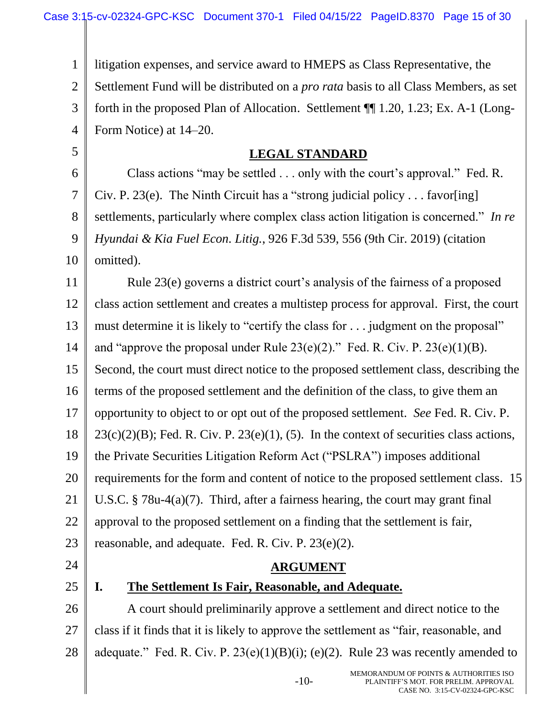1 2 3 4 5 6 7 8 9 10 11 12 13 14 15 16 17 18 19 20 21 22 23 24 25 26 27 28 litigation expenses, and service award to HMEPS as Class Representative, the Settlement Fund will be distributed on a *pro rata* basis to all Class Members, as set forth in the proposed Plan of Allocation. Settlement ¶¶ 1.20, 1.23; Ex. A-1 (Long-Form Notice) at 14–20. **LEGAL STANDARD** Class actions "may be settled . . . only with the court's approval." Fed. R. Civ. P. 23(e). The Ninth Circuit has a "strong judicial policy . . . favor [ing] settlements, particularly where complex class action litigation is concerned." *In re Hyundai & Kia Fuel Econ. Litig.*, 926 F.3d 539, 556 (9th Cir. 2019) (citation omitted). Rule 23(e) governs a district court's analysis of the fairness of a proposed class action settlement and creates a multistep process for approval. First, the court must determine it is likely to "certify the class for . . . judgment on the proposal" and "approve the proposal under Rule  $23(e)(2)$ ." Fed. R. Civ. P.  $23(e)(1)(B)$ . Second, the court must direct notice to the proposed settlement class, describing the terms of the proposed settlement and the definition of the class, to give them an opportunity to object to or opt out of the proposed settlement. *See* Fed. R. Civ. P.  $23(c)(2)(B)$ ; Fed. R. Civ. P.  $23(e)(1)$ , (5). In the context of securities class actions, the Private Securities Litigation Reform Act ("PSLRA") imposes additional requirements for the form and content of notice to the proposed settlement class. 15 U.S.C. § 78u-4(a)(7). Third, after a fairness hearing, the court may grant final approval to the proposed settlement on a finding that the settlement is fair, reasonable, and adequate. Fed. R. Civ. P. 23(e)(2). **ARGUMENT I. The Settlement Is Fair, Reasonable, and Adequate.** A court should preliminarily approve a settlement and direct notice to the class if it finds that it is likely to approve the settlement as "fair, reasonable, and adequate." Fed. R. Civ. P.  $23(e)(1)(B)(i)$ ; (e)(2). Rule 23 was recently amended to

-10-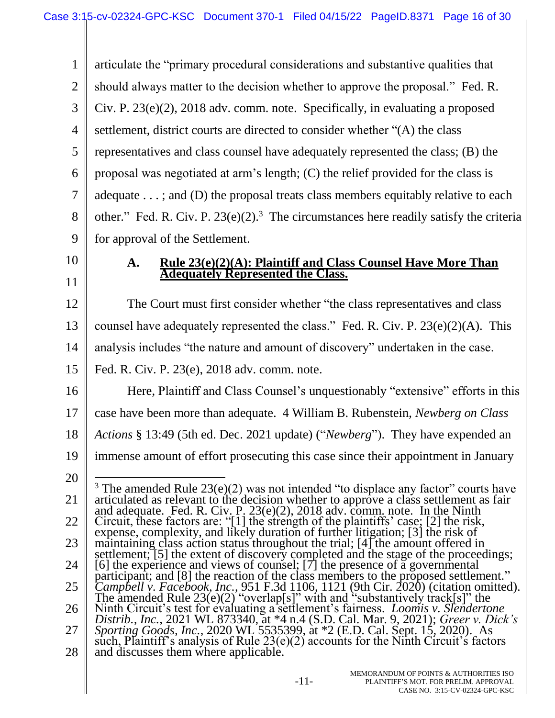1 2 3 4 5 6 7 8 9 10 11 12 13 14 15 16 17 18 19 20 21 22 23 24 25 26 27 28 articulate the "primary procedural considerations and substantive qualities that should always matter to the decision whether to approve the proposal." Fed. R. Civ. P. 23(e)(2), 2018 adv. comm. note. Specifically, in evaluating a proposed settlement, district courts are directed to consider whether "(A) the class representatives and class counsel have adequately represented the class; (B) the proposal was negotiated at arm's length; (C) the relief provided for the class is adequate . . . ; and (D) the proposal treats class members equitably relative to each other." Fed. R. Civ. P.  $23(e)(2)$ .<sup>3</sup> The circumstances here readily satisfy the criteria for approval of the Settlement. **A. Rule 23(e)(2)(A): Plaintiff and Class Counsel Have More Than Adequately Represented the Class.** The Court must first consider whether "the class representatives and class counsel have adequately represented the class." Fed. R. Civ. P.  $23(e)(2)(A)$ . This analysis includes "the nature and amount of discovery" undertaken in the case. Fed. R. Civ. P. 23(e), 2018 adv. comm. note. Here, Plaintiff and Class Counsel's unquestionably "extensive" efforts in this case have been more than adequate. 4 William B. Rubenstein, *Newberg on Class Actions* § 13:49 (5th ed. Dec. 2021 update) ("*Newberg*"). They have expended an immense amount of effort prosecuting this case since their appointment in January  $\overline{a}$ <sup>3</sup> The amended Rule  $23(e)(2)$  was not intended "to displace any factor" courts have articulated as relevant to the decision whether to approve a class settlement as fair and adequate. Fed. R. Civ. P.  $23(e)(2)$ ,  $2018$  adv. comm. note. In the Ninth Circuit, these factors are: "[1] the strength of the plaintiffs' case; [2] the risk, expense, complexity, and likely duration of further litigation; [3] the risk of maintaining class action status throughout the trial; [4] the amount offered in settlement; [5] the extent of discovery completed and the stage of the proceedings; [6] the experience and views of counsel;  $[7]$  the presence of a governmental participant; and [8] the reaction of the class members to the proposed settlement." *Campbell v. Facebook, Inc.*, 951 F.3d 1106, 1121 (9th Cir. 2020) (citation omitted). The amended Rule  $23(e)(2)$  "overlap[s]" with and "substantively track[s]" the Ninth Circuit's test for evaluating a settlement's fairness. *Loomis v. Slendertone Distrib., Inc.*, 2021 WL 873340, at \*4 n.4 (S.D. Cal. Mar. 9, 2021); *Greer v. Dick's Sporting Goods, Inc.*, 2020 WL 5535399, at \*2 (E.D. Cal. Sept. 15, 2020). As such, Plaintiff's analysis of Rule  $23(e)(2)$  accounts for the Ninth Circuit's factors and discusses them where applicable.

-11-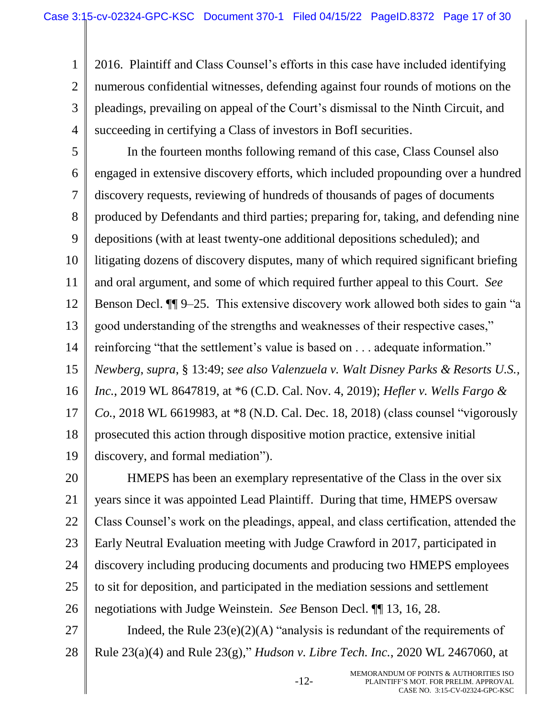1

2 3 4 2016. Plaintiff and Class Counsel's efforts in this case have included identifying numerous confidential witnesses, defending against four rounds of motions on the pleadings, prevailing on appeal of the Court's dismissal to the Ninth Circuit, and succeeding in certifying a Class of investors in BofI securities.

5 6 7 8 9 10 11 12 13 14 15 16 17 18 19 In the fourteen months following remand of this case, Class Counsel also engaged in extensive discovery efforts, which included propounding over a hundred discovery requests, reviewing of hundreds of thousands of pages of documents produced by Defendants and third parties; preparing for, taking, and defending nine depositions (with at least twenty-one additional depositions scheduled); and litigating dozens of discovery disputes, many of which required significant briefing and oral argument, and some of which required further appeal to this Court. *See* Benson Decl. ¶¶ 9–25. This extensive discovery work allowed both sides to gain "a good understanding of the strengths and weaknesses of their respective cases," reinforcing "that the settlement's value is based on . . . adequate information." *Newberg*, *supra*, § 13:49; *see also Valenzuela v. Walt Disney Parks & Resorts U.S., Inc.*, 2019 WL 8647819, at \*6 (C.D. Cal. Nov. 4, 2019); *Hefler v. Wells Fargo & Co.*, 2018 WL 6619983, at \*8 (N.D. Cal. Dec. 18, 2018) (class counsel "vigorously prosecuted this action through dispositive motion practice, extensive initial discovery, and formal mediation").

20 21 22 23 24 25 26 HMEPS has been an exemplary representative of the Class in the over six years since it was appointed Lead Plaintiff. During that time, HMEPS oversaw Class Counsel's work on the pleadings, appeal, and class certification, attended the Early Neutral Evaluation meeting with Judge Crawford in 2017, participated in discovery including producing documents and producing two HMEPS employees to sit for deposition, and participated in the mediation sessions and settlement negotiations with Judge Weinstein. *See* Benson Decl. ¶¶ 13, 16, 28.

27 28 Indeed, the Rule  $23(e)(2)(A)$  "analysis is redundant of the requirements of Rule 23(a)(4) and Rule 23(g)," *Hudson v. Libre Tech. Inc.*, 2020 WL 2467060, at

-12-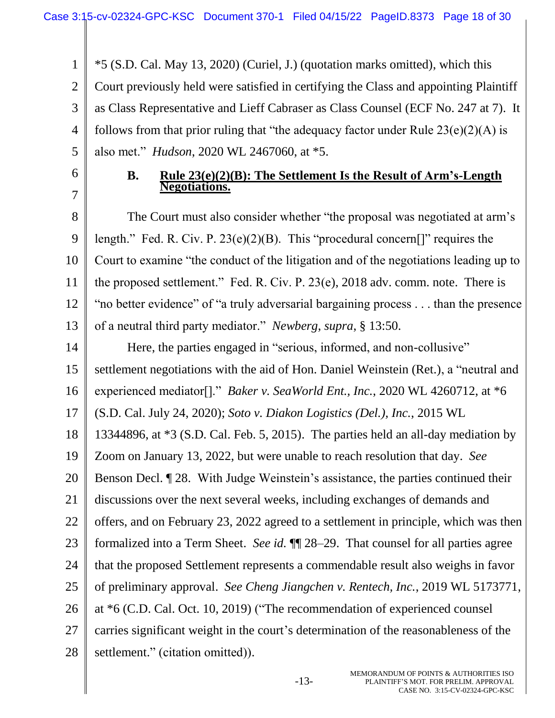1 2 3 4 5 \*5 (S.D. Cal. May 13, 2020) (Curiel, J.) (quotation marks omitted), which this Court previously held were satisfied in certifying the Class and appointing Plaintiff as Class Representative and Lieff Cabraser as Class Counsel (ECF No. 247 at 7). It follows from that prior ruling that "the adequacy factor under Rule  $23(e)(2)(A)$  is also met." *Hudson*, 2020 WL 2467060, at \*5.

6 7

#### **B. Rule 23(e)(2)(B): The Settlement Is the Result of Arm's-Length Negotiations.**

8 9 10 11 12 13 The Court must also consider whether "the proposal was negotiated at arm's length." Fed. R. Civ. P. 23(e)(2)(B). This "procedural concern[]" requires the Court to examine "the conduct of the litigation and of the negotiations leading up to the proposed settlement." Fed. R. Civ. P. 23(e), 2018 adv. comm. note. There is "no better evidence" of "a truly adversarial bargaining process . . . than the presence of a neutral third party mediator." *Newberg*, *supra*, § 13:50.

- 14 15 16 17 18 Here, the parties engaged in "serious, informed, and non-collusive" settlement negotiations with the aid of Hon. Daniel Weinstein (Ret.), a "neutral and experienced mediator[]." *Baker v. SeaWorld Ent., Inc.*, 2020 WL 4260712, at \*6 (S.D. Cal. July 24, 2020); *Soto v. Diakon Logistics (Del.), Inc.*, 2015 WL 13344896, at \*3 (S.D. Cal. Feb. 5, 2015). The parties held an all-day mediation by
- 19 Zoom on January 13, 2022, but were unable to reach resolution that day. *See*

20 Benson Decl. ¶ 28. With Judge Weinstein's assistance, the parties continued their

21 discussions over the next several weeks, including exchanges of demands and

22 offers, and on February 23, 2022 agreed to a settlement in principle, which was then

- 23 formalized into a Term Sheet. *See id.* ¶¶ 28–29. That counsel for all parties agree
- 24 that the proposed Settlement represents a commendable result also weighs in favor
- 25 of preliminary approval. *See Cheng Jiangchen v. Rentech, Inc.*, 2019 WL 5173771,
- 26 at \*6 (C.D. Cal. Oct. 10, 2019) ("The recommendation of experienced counsel
- 27 carries significant weight in the court's determination of the reasonableness of the
- 28 settlement." (citation omitted)).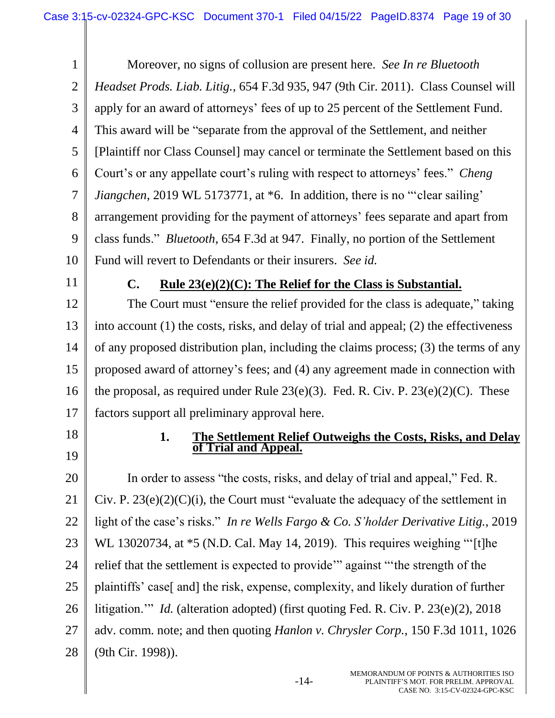1 2 3 4 5 6 7 8 9 10 Moreover, no signs of collusion are present here. *See In re Bluetooth Headset Prods. Liab. Litig.*, 654 F.3d 935, 947 (9th Cir. 2011). Class Counsel will apply for an award of attorneys' fees of up to 25 percent of the Settlement Fund. This award will be "separate from the approval of the Settlement, and neither [Plaintiff nor Class Counsel] may cancel or terminate the Settlement based on this Court's or any appellate court's ruling with respect to attorneys' fees." *Cheng Jiangchen*, 2019 WL 5173771, at  $*6$ . In addition, there is no "clear sailing' arrangement providing for the payment of attorneys' fees separate and apart from class funds." *Bluetooth*, 654 F.3d at 947. Finally, no portion of the Settlement Fund will revert to Defendants or their insurers. *See id.*

11

#### **C. Rule 23(e)(2)(C): The Relief for the Class is Substantial.**

12 13 14 15 16 17 The Court must "ensure the relief provided for the class is adequate," taking into account (1) the costs, risks, and delay of trial and appeal; (2) the effectiveness of any proposed distribution plan, including the claims process; (3) the terms of any proposed award of attorney's fees; and (4) any agreement made in connection with the proposal, as required under Rule  $23(e)(3)$ . Fed. R. Civ. P.  $23(e)(2)(C)$ . These factors support all preliminary approval here.

- 18
- 19

#### **1. The Settlement Relief Outweighs the Costs, Risks, and Delay of Trial and Appeal.**

20 21 22 23 24 25 26 27 28 In order to assess "the costs, risks, and delay of trial and appeal," Fed. R. Civ. P.  $23(e)(2)(C)(i)$ , the Court must "evaluate the adequacy of the settlement in light of the case's risks." *In re Wells Fargo & Co. S'holder Derivative Litig.*, 2019 WL 13020734, at  $*5$  (N.D. Cal. May 14, 2019). This requires weighing "[t]he relief that the settlement is expected to provide'" against "'the strength of the plaintiffs' case[ and] the risk, expense, complexity, and likely duration of further litigation.'" *Id.* (alteration adopted) (first quoting Fed. R. Civ. P. 23(e)(2), 2018 adv. comm. note; and then quoting *Hanlon v. Chrysler Corp.*, 150 F.3d 1011, 1026 (9th Cir. 1998)).

-14-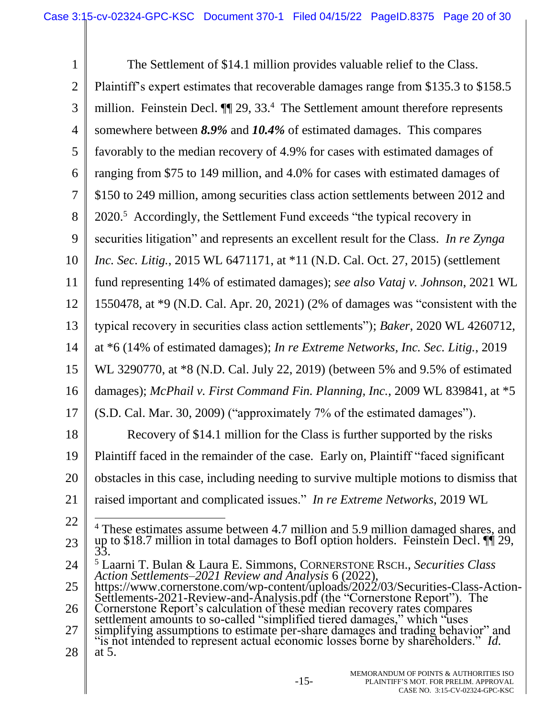| $\mathbf{1}$   | The Settlement of \$14.1 million provides valuable relief to the Class.                                                                                          |
|----------------|------------------------------------------------------------------------------------------------------------------------------------------------------------------|
| $\overline{2}$ | Plaintiff's expert estimates that recoverable damages range from \$135.3 to \$158.5                                                                              |
| 3              | million. Feinstein Decl. $\P$ 29, 33. <sup>4</sup> The Settlement amount therefore represents                                                                    |
| $\overline{4}$ | somewhere between 8.9% and 10.4% of estimated damages. This compares                                                                                             |
| 5              | favorably to the median recovery of 4.9% for cases with estimated damages of                                                                                     |
| 6              | ranging from \$75 to 149 million, and 4.0% for cases with estimated damages of                                                                                   |
| $\overline{7}$ | \$150 to 249 million, among securities class action settlements between 2012 and                                                                                 |
| 8              | 2020. <sup>5</sup> Accordingly, the Settlement Fund exceeds "the typical recovery in                                                                             |
| 9              | securities litigation" and represents an excellent result for the Class. In re Zynga                                                                             |
| 10             | Inc. Sec. Litig., 2015 WL 6471171, at *11 (N.D. Cal. Oct. 27, 2015) (settlement                                                                                  |
| 11             | fund representing 14% of estimated damages); see also Vataj v. Johnson, 2021 WL                                                                                  |
| 12             | 1550478, at *9 (N.D. Cal. Apr. 20, 2021) (2% of damages was "consistent with the                                                                                 |
| 13             | typical recovery in securities class action settlements"); Baker, 2020 WL 4260712,                                                                               |
| 14             | at *6 (14% of estimated damages); In re Extreme Networks, Inc. Sec. Litig., 2019                                                                                 |
| 15             | WL 3290770, at *8 (N.D. Cal. July 22, 2019) (between 5% and 9.5% of estimated                                                                                    |
| 16             | damages); McPhail v. First Command Fin. Planning, Inc., 2009 WL 839841, at *5                                                                                    |
| 17             | (S.D. Cal. Mar. 30, 2009) ("approximately 7% of the estimated damages").                                                                                         |
| 18             | Recovery of \$14.1 million for the Class is further supported by the risks                                                                                       |
| 19             | Plaintiff faced in the remainder of the case. Early on, Plaintiff "faced significant                                                                             |
| 20             | obstacles in this case, including needing to survive multiple motions to dismiss that                                                                            |
| 21             | raised important and complicated issues." In re Extreme Networks, 2019 WL                                                                                        |
| <u>22</u>      | <sup>4</sup> These estimates assume between 4.7 million and 5.9 million damaged shares, and                                                                      |
| 23             | up to \$18.7 million in total damages to BofI option holders. Feinstein Decl. $\P$ $\hat{I}$ 29,<br>33.                                                          |
| 24             | <sup>5</sup> Laarni T. Bulan & Laura E. Simmons, CORNERSTONE RSCH., Securities Class<br>Action Settlements–2021 Review and Analysis 6 (2022),                    |
| 25             | https://www.cornerstone.com/wp-content/uploads/2022/03/Securities-Class-Action-<br>Settlements-2021-Review-and-Analysis.pdf (the "Cornerstone Report"). The      |
| 26             | Cornerstone Report's calculation of these median recovery rates compares<br>settlement amounts to so-called "simplified tiered damages," which "uses"            |
| 27             | simplifying assumptions to estimate per-share damages and trading behavior" and "is not intended to represent actual economic losses borne by shareholders." Id. |
| 28             | at $5$ .                                                                                                                                                         |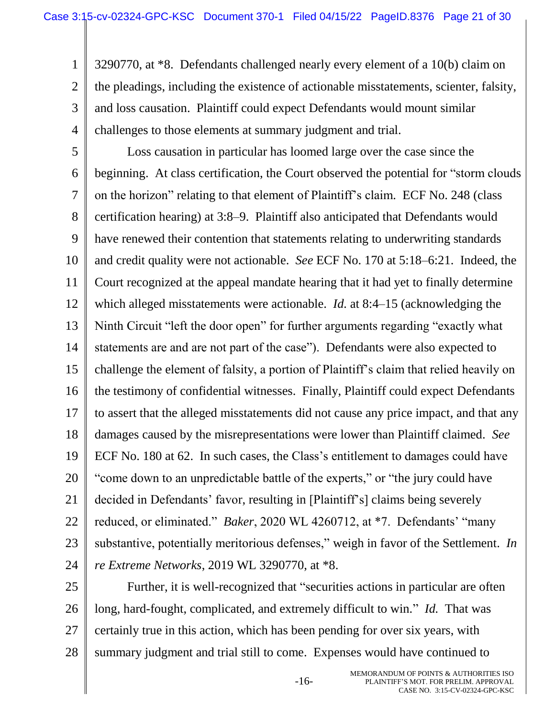1 2 3 4 3290770, at \*8. Defendants challenged nearly every element of a 10(b) claim on the pleadings, including the existence of actionable misstatements, scienter, falsity, and loss causation. Plaintiff could expect Defendants would mount similar challenges to those elements at summary judgment and trial.

5 6 7 8 9 10 11 12 13 14 15 16 17 18 19 20 21 22 23 24 Loss causation in particular has loomed large over the case since the beginning. At class certification, the Court observed the potential for "storm clouds on the horizon" relating to that element of Plaintiff's claim. ECF No. 248 (class certification hearing) at 3:8–9. Plaintiff also anticipated that Defendants would have renewed their contention that statements relating to underwriting standards and credit quality were not actionable. *See* ECF No. 170 at 5:18–6:21. Indeed, the Court recognized at the appeal mandate hearing that it had yet to finally determine which alleged misstatements were actionable. *Id.* at 8:4–15 (acknowledging the Ninth Circuit "left the door open" for further arguments regarding "exactly what statements are and are not part of the case"). Defendants were also expected to challenge the element of falsity, a portion of Plaintiff's claim that relied heavily on the testimony of confidential witnesses. Finally, Plaintiff could expect Defendants to assert that the alleged misstatements did not cause any price impact, and that any damages caused by the misrepresentations were lower than Plaintiff claimed. *See* ECF No. 180 at 62. In such cases, the Class's entitlement to damages could have "come down to an unpredictable battle of the experts," or "the jury could have decided in Defendants' favor, resulting in [Plaintiff's] claims being severely reduced, or eliminated." *Baker*, 2020 WL 4260712, at \*7. Defendants' "many substantive, potentially meritorious defenses," weigh in favor of the Settlement. *In re Extreme Networks*, 2019 WL 3290770, at \*8.

25 26 27 28 Further, it is well-recognized that "securities actions in particular are often long, hard-fought, complicated, and extremely difficult to win." *Id.* That was certainly true in this action, which has been pending for over six years, with summary judgment and trial still to come. Expenses would have continued to

-16-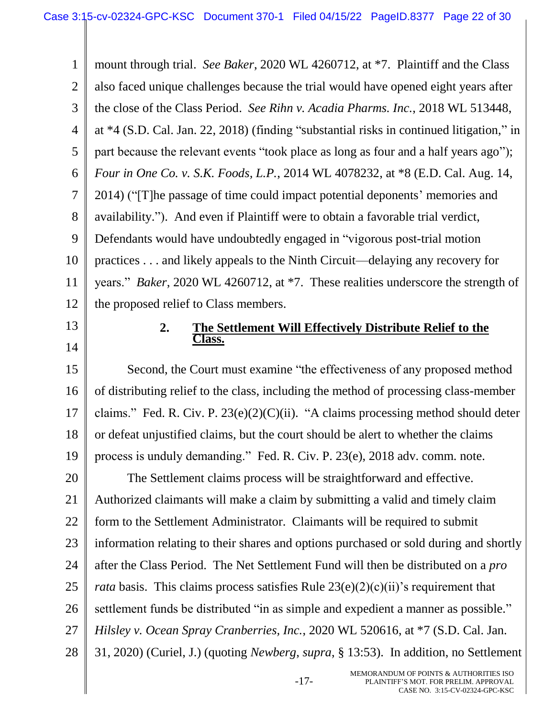1 2 3 4 5 6 7 8 9 10 11 12 mount through trial. *See Baker*, 2020 WL 4260712, at \*7. Plaintiff and the Class also faced unique challenges because the trial would have opened eight years after the close of the Class Period. *See Rihn v. Acadia Pharms. Inc.*, 2018 WL 513448, at \*4 (S.D. Cal. Jan. 22, 2018) (finding "substantial risks in continued litigation," in part because the relevant events "took place as long as four and a half years ago"); *Four in One Co. v. S.K. Foods, L.P.*, 2014 WL 4078232, at \*8 (E.D. Cal. Aug. 14, 2014) ("[T]he passage of time could impact potential deponents' memories and availability."). And even if Plaintiff were to obtain a favorable trial verdict, Defendants would have undoubtedly engaged in "vigorous post-trial motion practices . . . and likely appeals to the Ninth Circuit—delaying any recovery for years." *Baker*, 2020 WL 4260712, at \*7. These realities underscore the strength of the proposed relief to Class members.

13

14

#### **2. The Settlement Will Effectively Distribute Relief to the Class.**

15 16 17 18 19 20 21 22 23 24 25 26 27 28 Second, the Court must examine "the effectiveness of any proposed method of distributing relief to the class, including the method of processing class-member claims." Fed. R. Civ. P.  $23(e)(2)(C)(ii)$ . "A claims processing method should deter or defeat unjustified claims, but the court should be alert to whether the claims process is unduly demanding." Fed. R. Civ. P. 23(e), 2018 adv. comm. note. The Settlement claims process will be straightforward and effective. Authorized claimants will make a claim by submitting a valid and timely claim form to the Settlement Administrator. Claimants will be required to submit information relating to their shares and options purchased or sold during and shortly after the Class Period. The Net Settlement Fund will then be distributed on a *pro rata* basis. This claims process satisfies Rule 23(e)(2)(c)(ii)'s requirement that settlement funds be distributed "in as simple and expedient a manner as possible." *Hilsley v. Ocean Spray Cranberries, Inc.*, 2020 WL 520616, at \*7 (S.D. Cal. Jan. 31, 2020) (Curiel, J.) (quoting *Newberg*, *supra*, § 13:53). In addition, no Settlement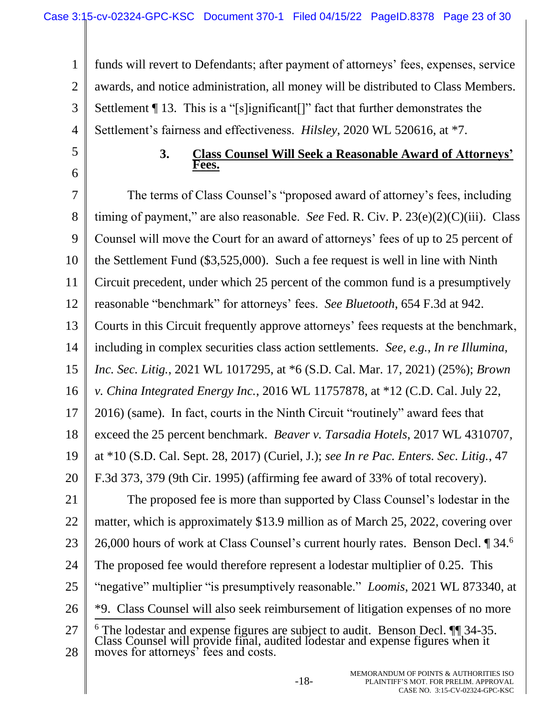1 2 3 4 funds will revert to Defendants; after payment of attorneys' fees, expenses, service awards, and notice administration, all money will be distributed to Class Members. Settlement ¶ 13. This is a "[s]ignificant[]" fact that further demonstrates the Settlement's fairness and effectiveness. *Hilsley*, 2020 WL 520616, at \*7.

5

6

#### **3. Class Counsel Will Seek a Reasonable Award of Attorneys' Fees.**

7 8 9 10 11 12 13 14 15 16 17 18 19 20 21 22 23 24 25 26 27 28 The terms of Class Counsel's "proposed award of attorney's fees, including timing of payment," are also reasonable. *See* Fed. R. Civ. P. 23(e)(2)(C)(iii). Class Counsel will move the Court for an award of attorneys' fees of up to 25 percent of the Settlement Fund (\$3,525,000). Such a fee request is well in line with Ninth Circuit precedent, under which 25 percent of the common fund is a presumptively reasonable "benchmark" for attorneys' fees. *See Bluetooth*, 654 F.3d at 942. Courts in this Circuit frequently approve attorneys' fees requests at the benchmark, including in complex securities class action settlements. *See, e.g.*, *In re Illumina, Inc. Sec. Litig.*, 2021 WL 1017295, at \*6 (S.D. Cal. Mar. 17, 2021) (25%); *Brown v. China Integrated Energy Inc.*, 2016 WL 11757878, at \*12 (C.D. Cal. July 22, 2016) (same). In fact, courts in the Ninth Circuit "routinely" award fees that exceed the 25 percent benchmark. *Beaver v. Tarsadia Hotels*, 2017 WL 4310707, at \*10 (S.D. Cal. Sept. 28, 2017) (Curiel, J.); *see In re Pac. Enters. Sec. Litig.*, 47 F.3d 373, 379 (9th Cir. 1995) (affirming fee award of 33% of total recovery). The proposed fee is more than supported by Class Counsel's lodestar in the matter, which is approximately \$13.9 million as of March 25, 2022, covering over 26,000 hours of work at Class Counsel's current hourly rates. Benson Decl. 1 34.6 The proposed fee would therefore represent a lodestar multiplier of 0.25. This "negative" multiplier "is presumptively reasonable." *Loomis*, 2021 WL 873340, at \*9. Class Counsel will also seek reimbursement of litigation expenses of no more l <sup>6</sup> The lodestar and expense figures are subject to audit. Benson Decl. ¶¶ 34-35. Class Counsel will provide final, audited lodestar and expense figures when it moves for attorneys' fees and costs.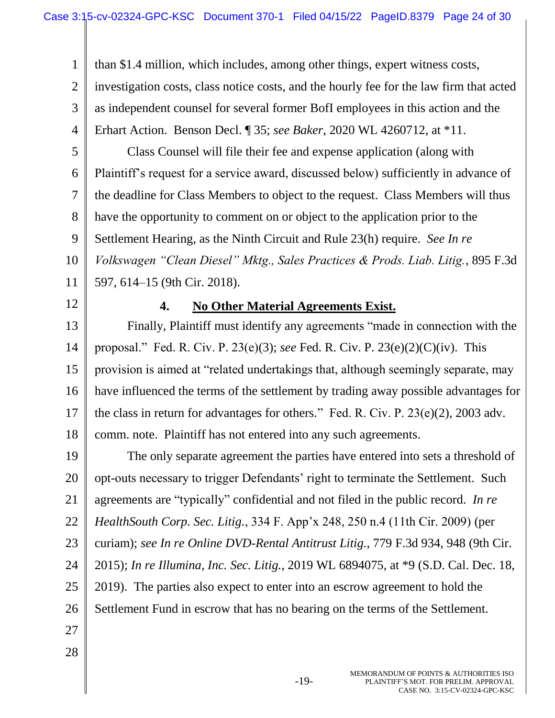1 2 3 4 than \$1.4 million, which includes, among other things, expert witness costs, investigation costs, class notice costs, and the hourly fee for the law firm that acted as independent counsel for several former BofI employees in this action and the Erhart Action. Benson Decl. ¶ 35; *see Baker*, 2020 WL 4260712, at \*11.

- 5 6 7 8 9 10 Class Counsel will file their fee and expense application (along with Plaintiff's request for a service award, discussed below) sufficiently in advance of the deadline for Class Members to object to the request. Class Members will thus have the opportunity to comment on or object to the application prior to the Settlement Hearing, as the Ninth Circuit and Rule 23(h) require. *See In re Volkswagen "Clean Diesel" Mktg., Sales Practices & Prods. Liab. Litig.*, 895 F.3d
- 11

597, 614–15 (9th Cir. 2018).

12

## **4. No Other Material Agreements Exist.**

13 14 15 16 17 18 Finally, Plaintiff must identify any agreements "made in connection with the proposal." Fed. R. Civ. P. 23(e)(3); *see* Fed. R. Civ. P. 23(e)(2)(C)(iv). This provision is aimed at "related undertakings that, although seemingly separate, may have influenced the terms of the settlement by trading away possible advantages for the class in return for advantages for others." Fed. R. Civ. P. 23(e)(2), 2003 adv. comm. note. Plaintiff has not entered into any such agreements.

19 20 21 22 23 24 25 26 27 The only separate agreement the parties have entered into sets a threshold of opt-outs necessary to trigger Defendants' right to terminate the Settlement. Such agreements are "typically" confidential and not filed in the public record. *In re HealthSouth Corp. Sec. Litig.*, 334 F. App'x 248, 250 n.4 (11th Cir. 2009) (per curiam); *see In re Online DVD-Rental Antitrust Litig.*, 779 F.3d 934, 948 (9th Cir. 2015); *In re Illumina, Inc. Sec. Litig.*, 2019 WL 6894075, at \*9 (S.D. Cal. Dec. 18, 2019). The parties also expect to enter into an escrow agreement to hold the Settlement Fund in escrow that has no bearing on the terms of the Settlement.

28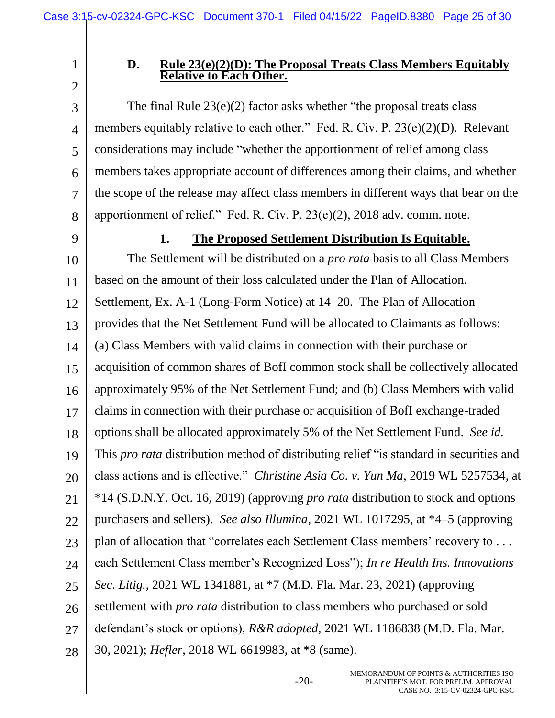1 2

3

5

6

7

8

#### **D. Rule 23(e)(2)(D): The Proposal Treats Class Members Equitably Relative to Each Other.**

4 The final Rule  $23(e)(2)$  factor asks whether "the proposal treats class" members equitably relative to each other." Fed. R. Civ. P. 23(e)(2)(D). Relevant considerations may include "whether the apportionment of relief among class members takes appropriate account of differences among their claims, and whether the scope of the release may affect class members in different ways that bear on the apportionment of relief." Fed. R. Civ. P. 23(e)(2), 2018 adv. comm. note.

9

#### **1. The Proposed Settlement Distribution Is Equitable.**

10 11 12 13 14 15 16 17 18 19 20 21 22 23 24 25 26 27 28 The Settlement will be distributed on a *pro rata* basis to all Class Members based on the amount of their loss calculated under the Plan of Allocation. Settlement, Ex. A-1 (Long-Form Notice) at 14–20. The Plan of Allocation provides that the Net Settlement Fund will be allocated to Claimants as follows: (a) Class Members with valid claims in connection with their purchase or acquisition of common shares of BofI common stock shall be collectively allocated approximately 95% of the Net Settlement Fund; and (b) Class Members with valid claims in connection with their purchase or acquisition of BofI exchange-traded options shall be allocated approximately 5% of the Net Settlement Fund. *See id.* This *pro rata* distribution method of distributing relief "is standard in securities and class actions and is effective." *Christine Asia Co. v. Yun Ma*, 2019 WL 5257534, at \*14 (S.D.N.Y. Oct. 16, 2019) (approving *pro rata* distribution to stock and options purchasers and sellers). *See also Illumina*, 2021 WL 1017295, at \*4–5 (approving plan of allocation that "correlates each Settlement Class members' recovery to . . . each Settlement Class member's Recognized Loss"); *In re Health Ins. Innovations Sec. Litig.*, 2021 WL 1341881, at \*7 (M.D. Fla. Mar. 23, 2021) (approving settlement with *pro rata* distribution to class members who purchased or sold defendant's stock or options), *R&R adopted*, 2021 WL 1186838 (M.D. Fla. Mar. 30, 2021); *Hefler*, 2018 WL 6619983, at \*8 (same).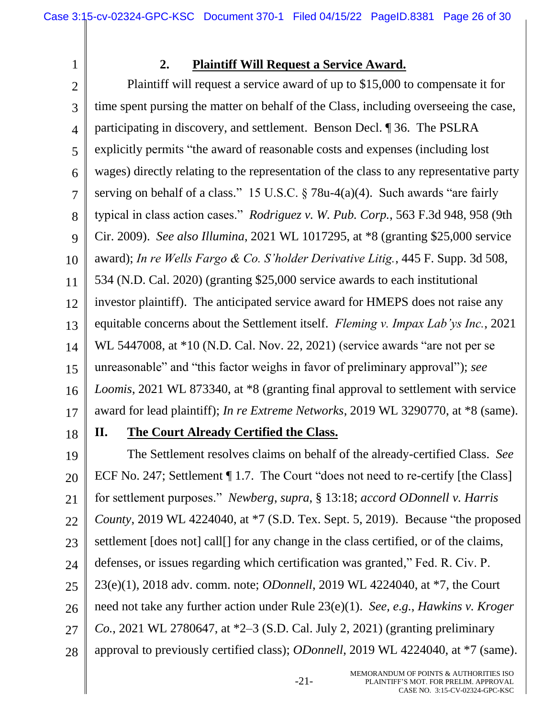1

## **2. Plaintiff Will Request a Service Award.**

2 3 4 5 6 7 8 9 10 11 12 13 14 15 16 17 18 Plaintiff will request a service award of up to \$15,000 to compensate it for time spent pursing the matter on behalf of the Class, including overseeing the case, participating in discovery, and settlement. Benson Decl. ¶ 36. The PSLRA explicitly permits "the award of reasonable costs and expenses (including lost wages) directly relating to the representation of the class to any representative party serving on behalf of a class." 15 U.S.C. § 78u-4(a)(4). Such awards "are fairly typical in class action cases." *Rodriguez v. W. Pub. Corp.*, 563 F.3d 948, 958 (9th Cir. 2009). *See also Illumina*, 2021 WL 1017295, at \*8 (granting \$25,000 service award); *In re Wells Fargo & Co. S'holder Derivative Litig.*, 445 F. Supp. 3d 508, 534 (N.D. Cal. 2020) (granting \$25,000 service awards to each institutional investor plaintiff). The anticipated service award for HMEPS does not raise any equitable concerns about the Settlement itself. *Fleming v. Impax Lab'ys Inc.*, 2021 WL 5447008, at \*10 (N.D. Cal. Nov. 22, 2021) (service awards "are not per se unreasonable" and "this factor weighs in favor of preliminary approval"); *see Loomis*, 2021 WL 873340, at \*8 (granting final approval to settlement with service award for lead plaintiff); *In re Extreme Networks*, 2019 WL 3290770, at \*8 (same).

## **II. The Court Already Certified the Class.**

19 20 21 22 23 24 25 26 27 28 The Settlement resolves claims on behalf of the already-certified Class. *See* ECF No. 247; Settlement ¶ 1.7. The Court "does not need to re-certify [the Class] for settlement purposes." *Newberg*, *supra*, § 13:18; *accord ODonnell v. Harris County*, 2019 WL 4224040, at \*7 (S.D. Tex. Sept. 5, 2019). Because "the proposed settlement [does not] call[] for any change in the class certified, or of the claims, defenses, or issues regarding which certification was granted," Fed. R. Civ. P. 23(e)(1), 2018 adv. comm. note; *ODonnell*, 2019 WL 4224040, at \*7, the Court need not take any further action under Rule 23(e)(1). *See, e.g.*, *Hawkins v. Kroger Co.*, 2021 WL 2780647, at \*2–3 (S.D. Cal. July 2, 2021) (granting preliminary approval to previously certified class); *ODonnell*, 2019 WL 4224040, at \*7 (same).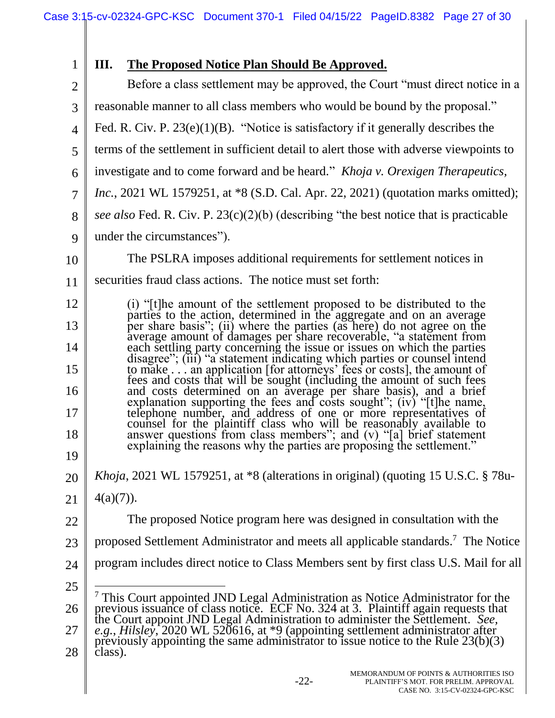| $\mathbf{1}$   | Ш.<br><b>The Proposed Notice Plan Should Be Approved.</b>                                                                                                                                                                                            |  |  |  |  |  |  |  |
|----------------|------------------------------------------------------------------------------------------------------------------------------------------------------------------------------------------------------------------------------------------------------|--|--|--|--|--|--|--|
| $\overline{2}$ | Before a class settlement may be approved, the Court "must direct notice in a                                                                                                                                                                        |  |  |  |  |  |  |  |
| 3              | reasonable manner to all class members who would be bound by the proposal."                                                                                                                                                                          |  |  |  |  |  |  |  |
| $\overline{4}$ | Fed. R. Civ. P. $23(e)(1)(B)$ . "Notice is satisfactory if it generally describes the                                                                                                                                                                |  |  |  |  |  |  |  |
| 5              | terms of the settlement in sufficient detail to alert those with adverse viewpoints to                                                                                                                                                               |  |  |  |  |  |  |  |
| 6              | investigate and to come forward and be heard." <i>Khoja v. Orexigen Therapeutics</i> ,                                                                                                                                                               |  |  |  |  |  |  |  |
| $\overline{7}$ | <i>Inc.</i> , 2021 WL 1579251, at *8 (S.D. Cal. Apr. 22, 2021) (quotation marks omitted);                                                                                                                                                            |  |  |  |  |  |  |  |
| 8              | see also Fed. R. Civ. P. 23(c)(2)(b) (describing "the best notice that is practicable                                                                                                                                                                |  |  |  |  |  |  |  |
| 9              | under the circumstances").                                                                                                                                                                                                                           |  |  |  |  |  |  |  |
| 10             | The PSLRA imposes additional requirements for settlement notices in                                                                                                                                                                                  |  |  |  |  |  |  |  |
| 11             | securities fraud class actions. The notice must set forth:                                                                                                                                                                                           |  |  |  |  |  |  |  |
| 12             |                                                                                                                                                                                                                                                      |  |  |  |  |  |  |  |
| 13             | (i) "[t]he amount of the settlement proposed to be distributed to the parties to the action, determined in the aggregate and on an average per share basis"; (ii) where the parties (as here) do not agree on the                                    |  |  |  |  |  |  |  |
| 14             | average amount of damages per share recoverable, "a statement from<br>each settling party concerning the issue or issues on which the parties<br>disagree"; (iii) "a statement indicating which parties or counsel intend                            |  |  |  |  |  |  |  |
| 15             | to make  an application [for attorneys' fees or costs], the amount of fees and costs that will be sought (including the amount of such fees                                                                                                          |  |  |  |  |  |  |  |
| 16             |                                                                                                                                                                                                                                                      |  |  |  |  |  |  |  |
| 17             | and costs determined on an average per share basis), and a brief<br>explanation supporting the fees and costs sought"; (iv) "[t]he name,<br>telephone number, and address of one or more representatives of<br>counsel for the plaintif              |  |  |  |  |  |  |  |
| 18             | answer questions from class members"; and (v) "[a] brief statement                                                                                                                                                                                   |  |  |  |  |  |  |  |
| 19             | explaining the reasons why the parties are proposing the settlement."                                                                                                                                                                                |  |  |  |  |  |  |  |
| 20             | <i>Khoja</i> , 2021 WL 1579251, at $*8$ (alterations in original) (quoting 15 U.S.C. $\S$ 78u-                                                                                                                                                       |  |  |  |  |  |  |  |
| 21             | $4(a)(7)$ ).                                                                                                                                                                                                                                         |  |  |  |  |  |  |  |
| 22             | The proposed Notice program here was designed in consultation with the                                                                                                                                                                               |  |  |  |  |  |  |  |
| 23             | proposed Settlement Administrator and meets all applicable standards. <sup>7</sup> The Notice                                                                                                                                                        |  |  |  |  |  |  |  |
| 24             | program includes direct notice to Class Members sent by first class U.S. Mail for all                                                                                                                                                                |  |  |  |  |  |  |  |
| 25             |                                                                                                                                                                                                                                                      |  |  |  |  |  |  |  |
| 26             | This Court appointed JND Legal Administration as Notice Administrator for the<br>previous issuance of class notice. ECF No. 324 at 3. Plaintiff again requests that<br>the Court appoint JND Legal Administration to administer the Settlement. See, |  |  |  |  |  |  |  |
| 27             | e.g., Hilsley, 2020 WL 520616, at *9 (appointing settlement administrator after<br>previously appointing the same administrator to issue notice to the Rule 23(b)(3)                                                                                 |  |  |  |  |  |  |  |
| 28             | class).                                                                                                                                                                                                                                              |  |  |  |  |  |  |  |
|                |                                                                                                                                                                                                                                                      |  |  |  |  |  |  |  |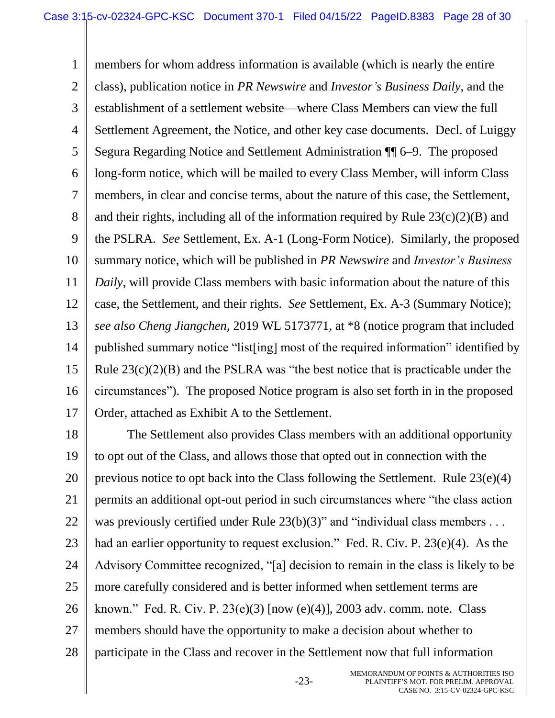1 2 3 4 5 6 7 8 9 10 11 12 13 14 15 16 17 members for whom address information is available (which is nearly the entire class), publication notice in *PR Newswire* and *Investor's Business Daily*, and the establishment of a settlement website—where Class Members can view the full Settlement Agreement, the Notice, and other key case documents. Decl. of Luiggy Segura Regarding Notice and Settlement Administration ¶¶ 6–9. The proposed long-form notice, which will be mailed to every Class Member, will inform Class members, in clear and concise terms, about the nature of this case, the Settlement, and their rights, including all of the information required by Rule  $23(c)(2)(B)$  and the PSLRA. *See* Settlement, Ex. A-1 (Long-Form Notice). Similarly, the proposed summary notice, which will be published in *PR Newswire* and *Investor's Business Daily*, will provide Class members with basic information about the nature of this case, the Settlement, and their rights. *See* Settlement, Ex. A-3 (Summary Notice); *see also Cheng Jiangchen*, 2019 WL 5173771, at \*8 (notice program that included published summary notice "list[ing] most of the required information" identified by Rule 23(c)(2)(B) and the PSLRA was "the best notice that is practicable under the circumstances"). The proposed Notice program is also set forth in in the proposed Order, attached as Exhibit A to the Settlement.

18 19 20 21 22 23 24 25 26 27 28 The Settlement also provides Class members with an additional opportunity to opt out of the Class, and allows those that opted out in connection with the previous notice to opt back into the Class following the Settlement. Rule 23(e)(4) permits an additional opt-out period in such circumstances where "the class action was previously certified under Rule 23(b)(3)" and "individual class members . . . had an earlier opportunity to request exclusion." Fed. R. Civ. P. 23(e)(4). As the Advisory Committee recognized, "[a] decision to remain in the class is likely to be more carefully considered and is better informed when settlement terms are known." Fed. R. Civ. P. 23(e)(3) [now (e)(4)], 2003 adv. comm. note. Class members should have the opportunity to make a decision about whether to participate in the Class and recover in the Settlement now that full information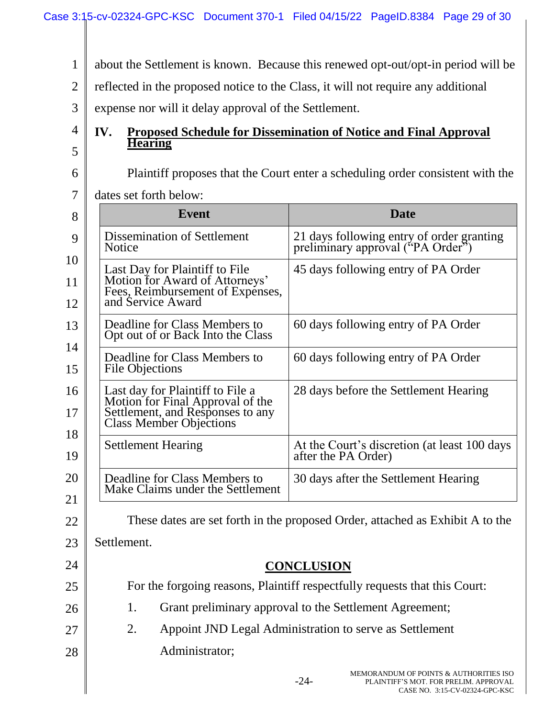1 2 3 4 5 6 7 8 9 10 11 12 13 14 15 16 17 18 19 20 21 22 23 24 25 26 27 28 -24- MEMORANDUM OF POINTS & AUTHORITIES ISO about the Settlement is known. Because this renewed opt-out/opt-in period will be reflected in the proposed notice to the Class, it will not require any additional expense nor will it delay approval of the Settlement. **IV. Proposed Schedule for Dissemination of Notice and Final Approval Hearing** Plaintiff proposes that the Court enter a scheduling order consistent with the dates set forth below: **Event Date** Dissemination of Settlement Notice 21 days following entry of order granting preliminary approval ("PA Order") Last Day for Plaintiff to File Motion for Award of Attorneys' Fees, Reimbursement of Expenses, and Service Award 45 days following entry of PA Order Deadline for Class Members to Opt out of or Back Into the Class 60 days following entry of PA Order Deadline for Class Members to File Objections 60 days following entry of PA Order Last day for Plaintiff to File a Motion for Final Approval of the Settlement, and Responses to any Class Member Objections 28 days before the Settlement Hearing Settlement Hearing At the Court's discretion (at least 100 days after the PA Order) Deadline for Class Members to Make Claims under the Settlement 30 days after the Settlement Hearing These dates are set forth in the proposed Order, attached as Exhibit A to the Settlement. **CONCLUSION** For the forgoing reasons, Plaintiff respectfully requests that this Court: 1. Grant preliminary approval to the Settlement Agreement; 2. Appoint JND Legal Administration to serve as Settlement Administrator;